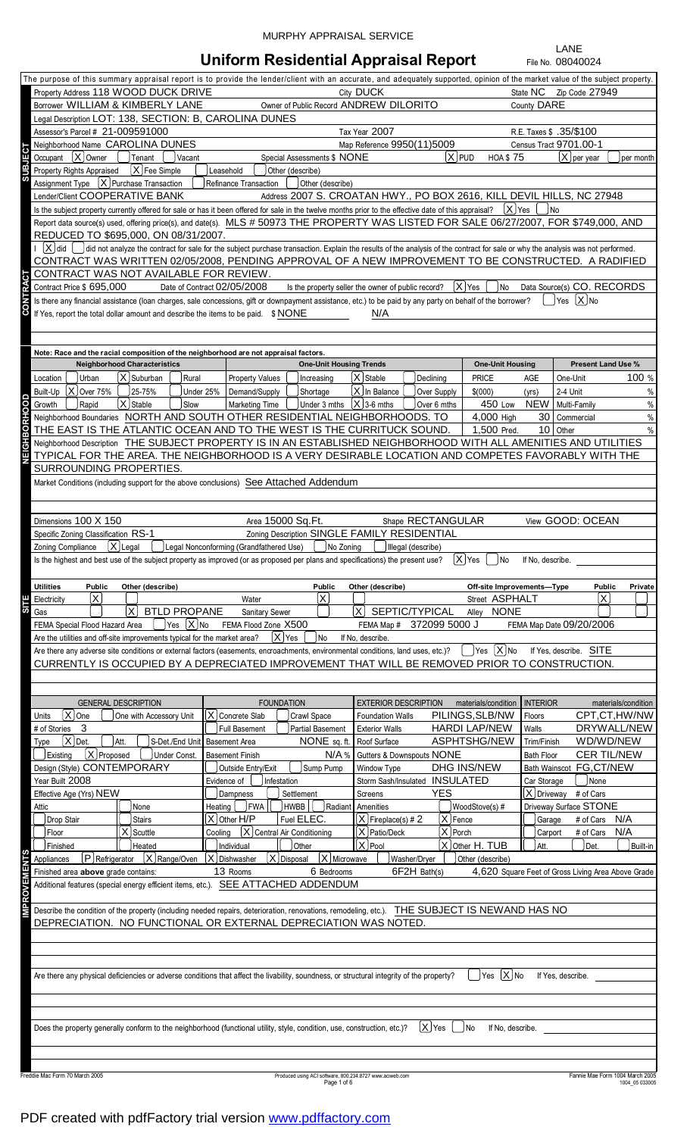## MURPHY APPRAISAL SERVICE

# **Uniform Residential Appraisal Report**

File No. 08040024 LANE

|                 |                                                                          |                                     |                     |                         |                                                                                                                                                                        |                                                                                      |                   |                                                                                       | The purpose of this summary appraisal report is to provide the lender/client with an accurate, and adequately supported, opinion of the market value of the subject property.                          |                   |                            |                       |                                                    |                                 |
|-----------------|--------------------------------------------------------------------------|-------------------------------------|---------------------|-------------------------|------------------------------------------------------------------------------------------------------------------------------------------------------------------------|--------------------------------------------------------------------------------------|-------------------|---------------------------------------------------------------------------------------|--------------------------------------------------------------------------------------------------------------------------------------------------------------------------------------------------------|-------------------|----------------------------|-----------------------|----------------------------------------------------|---------------------------------|
|                 | Property Address 118 WOOD DUCK DRIVE                                     |                                     |                     |                         |                                                                                                                                                                        |                                                                                      |                   |                                                                                       | City DUCK                                                                                                                                                                                              |                   |                            |                       | State NC    Zip Code 27949                         |                                 |
|                 | Borrower WILLIAM & KIMBERLY LANE                                         |                                     |                     |                         |                                                                                                                                                                        |                                                                                      |                   |                                                                                       | Owner of Public Record ANDREW DILORITO                                                                                                                                                                 |                   |                            | County DARE           |                                                    |                                 |
|                 |                                                                          |                                     |                     |                         |                                                                                                                                                                        | Legal Description LOT: 138, SECTION: B, CAROLINA DUNES                               |                   |                                                                                       |                                                                                                                                                                                                        |                   |                            |                       |                                                    |                                 |
|                 | Assessor's Parcel # 21-009591000                                         |                                     |                     |                         |                                                                                                                                                                        |                                                                                      |                   |                                                                                       | Tax Year 2007                                                                                                                                                                                          |                   |                            |                       | R.E. Taxes \$ .35/\$100                            |                                 |
|                 | Neighborhood Name CAROLINA DUNES                                         |                                     |                     |                         |                                                                                                                                                                        |                                                                                      |                   |                                                                                       | Map Reference 9950(11)5009                                                                                                                                                                             |                   |                            |                       | Census Tract 9701.00-1                             |                                 |
| <b>SUBJECT</b>  | Occupant                                                                 | $ X $ Owner                         | Tenant              |                         | Vacant                                                                                                                                                                 |                                                                                      |                   | Special Assessments \$ NONE                                                           |                                                                                                                                                                                                        | $X$ PUD           | <b>HOA \$75</b>            |                       | $[\chi]$ per year                                  | per month                       |
|                 | Property Rights Appraised                                                |                                     |                     | X Fee Simple            |                                                                                                                                                                        | Leasehold                                                                            | Other (describe)  |                                                                                       |                                                                                                                                                                                                        |                   |                            |                       |                                                    |                                 |
|                 | Assignment Type $ X $ Purchase Transaction                               |                                     |                     |                         |                                                                                                                                                                        | Refinance Transaction                                                                |                   | Other (describe)                                                                      |                                                                                                                                                                                                        |                   |                            |                       |                                                    |                                 |
|                 | Lender/Client COOPERATIVE BANK                                           |                                     |                     |                         |                                                                                                                                                                        |                                                                                      |                   |                                                                                       | Address 2007 S. CROATAN HWY., PO BOX 2616, KILL DEVIL HILLS, NC 27948                                                                                                                                  |                   |                            |                       |                                                    |                                 |
|                 |                                                                          |                                     |                     |                         |                                                                                                                                                                        |                                                                                      |                   |                                                                                       | Is the subject property currently offered for sale or has it been offered for sale in the twelve months prior to the effective date of this appraisal? X Yes                                           |                   |                            | No                    |                                                    |                                 |
|                 |                                                                          |                                     |                     |                         |                                                                                                                                                                        |                                                                                      |                   |                                                                                       | Report data source(s) used, offering price(s), and date(s). MLS # 50973 THE PROPERTY WAS LISTED FOR SALE 06/27/2007, FOR \$749,000, AND                                                                |                   |                            |                       |                                                    |                                 |
|                 | REDUCED TO \$695,000, ON 08/31/2007.                                     |                                     |                     |                         |                                                                                                                                                                        |                                                                                      |                   |                                                                                       |                                                                                                                                                                                                        |                   |                            |                       |                                                    |                                 |
|                 |                                                                          |                                     |                     |                         |                                                                                                                                                                        |                                                                                      |                   |                                                                                       | or $\lfloor x \rfloor$ did not analyze the contract for sale for the subject purchase transaction. Explain the results of the analysis of the contract for sale or why the analysis was not performed. |                   |                            |                       |                                                    |                                 |
|                 |                                                                          |                                     |                     |                         |                                                                                                                                                                        |                                                                                      |                   |                                                                                       | CONTRACT WAS WRITTEN 02/05/2008, PENDING APPROVAL OF A NEW IMPROVEMENT TO BE CONSTRUCTED. A RADIFIED                                                                                                   |                   |                            |                       |                                                    |                                 |
|                 |                                                                          |                                     |                     |                         |                                                                                                                                                                        | CONTRACT WAS NOT AVAILABLE FOR REVIEW.                                               |                   |                                                                                       |                                                                                                                                                                                                        |                   |                            |                       |                                                    |                                 |
|                 | Contract Price \$695,000                                                 |                                     |                     |                         |                                                                                                                                                                        | Date of Contract 02/05/2008                                                          |                   |                                                                                       | Is the property seller the owner of public record?                                                                                                                                                     |                   | $[X]$ Yes<br>No            |                       | Data Source(s) CO. RECORDS                         |                                 |
| CONTRACT        |                                                                          |                                     |                     |                         |                                                                                                                                                                        |                                                                                      |                   |                                                                                       | Is there any financial assistance (loan charges, sale concessions, gift or downpayment assistance, etc.) to be paid by any party on behalf of the borrower?                                            |                   |                            |                       | $ Yes X $ No                                       |                                 |
|                 |                                                                          |                                     |                     |                         |                                                                                                                                                                        | If Yes, report the total dollar amount and describe the items to be paid. \$ NONE    |                   |                                                                                       | N/A                                                                                                                                                                                                    |                   |                            |                       |                                                    |                                 |
|                 |                                                                          |                                     |                     |                         |                                                                                                                                                                        |                                                                                      |                   |                                                                                       |                                                                                                                                                                                                        |                   |                            |                       |                                                    |                                 |
|                 |                                                                          |                                     |                     |                         |                                                                                                                                                                        |                                                                                      |                   |                                                                                       |                                                                                                                                                                                                        |                   |                            |                       |                                                    |                                 |
|                 |                                                                          |                                     |                     |                         |                                                                                                                                                                        |                                                                                      |                   |                                                                                       |                                                                                                                                                                                                        |                   |                            |                       |                                                    |                                 |
|                 |                                                                          |                                     |                     |                         |                                                                                                                                                                        | Note: Race and the racial composition of the neighborhood are not appraisal factors. |                   |                                                                                       |                                                                                                                                                                                                        |                   | <b>One-Unit Housing</b>    |                       | <b>Present Land Use %</b>                          |                                 |
|                 |                                                                          | <b>Neighborhood Characteristics</b> |                     |                         |                                                                                                                                                                        |                                                                                      |                   | <b>One-Unit Housing Trends</b>                                                        |                                                                                                                                                                                                        |                   |                            |                       |                                                    |                                 |
|                 | Location                                                                 | Urban                               | $X$ Suburban        |                         | Rural                                                                                                                                                                  | <b>Property Values</b>                                                               |                   | Increasing                                                                            | $X$ Stable                                                                                                                                                                                             | Declining         | <b>PRICE</b>               | AGE                   | One-Unit                                           | 100 %                           |
|                 | Built-Up $X$ Over 75%                                                    |                                     | 25-75%              |                         | Under 25%                                                                                                                                                              | Demand/Supply                                                                        |                   | Shortage                                                                              | X In Balance                                                                                                                                                                                           | Over Supply       | \$(000)                    | (yrs)                 | 2-4 Unit                                           | %                               |
| RHOOD           | Growth                                                                   | Rapid                               | $X$ Stable          |                         | Slow                                                                                                                                                                   | <b>Marketing Time</b>                                                                |                   | Under 3 mths                                                                          | $ X $ 3-6 mths                                                                                                                                                                                         | Over 6 mths       | 450 Low                    | <b>NEW</b>            | Multi-Family                                       | %                               |
|                 |                                                                          |                                     |                     |                         |                                                                                                                                                                        |                                                                                      |                   |                                                                                       | Neighborhood Boundaries NORTH AND SOUTH OTHER RESIDENTIAL NEIGHBORHOODS. TO                                                                                                                            |                   | 4,000 High                 |                       | 30   Commercial                                    | $\%$                            |
|                 |                                                                          |                                     |                     |                         |                                                                                                                                                                        |                                                                                      |                   |                                                                                       | THE EAST IS THE ATLANTIC OCEAN AND TO THE WEST IS THE CURRITUCK SOUND.                                                                                                                                 |                   | 1,500 Pred.                |                       | $10$ Other                                         | $\%$                            |
|                 |                                                                          |                                     |                     |                         |                                                                                                                                                                        |                                                                                      |                   |                                                                                       | Neighborhood Description THE SUBJECT PROPERTY IS IN AN ESTABLISHED NEIGHBORHOOD WITH ALL AMENITIES AND UTILITIES                                                                                       |                   |                            |                       |                                                    |                                 |
|                 |                                                                          |                                     |                     |                         |                                                                                                                                                                        |                                                                                      |                   |                                                                                       | TYPICAL FOR THE AREA. THE NEIGHBORHOOD IS A VERY DESIRABLE LOCATION AND COMPETES FAVORABLY WITH THE                                                                                                    |                   |                            |                       |                                                    |                                 |
|                 | SURROUNDING PROPERTIES.                                                  |                                     |                     |                         |                                                                                                                                                                        |                                                                                      |                   |                                                                                       |                                                                                                                                                                                                        |                   |                            |                       |                                                    |                                 |
|                 |                                                                          |                                     |                     |                         |                                                                                                                                                                        |                                                                                      |                   | Market Conditions (including support for the above conclusions) See Attached Addendum |                                                                                                                                                                                                        |                   |                            |                       |                                                    |                                 |
|                 |                                                                          |                                     |                     |                         |                                                                                                                                                                        |                                                                                      |                   |                                                                                       |                                                                                                                                                                                                        |                   |                            |                       |                                                    |                                 |
|                 |                                                                          |                                     |                     |                         |                                                                                                                                                                        |                                                                                      |                   |                                                                                       |                                                                                                                                                                                                        |                   |                            |                       |                                                    |                                 |
|                 | Dimensions 100 X 150                                                     |                                     |                     |                         |                                                                                                                                                                        | Area 15000 Sq.Ft.                                                                    |                   |                                                                                       |                                                                                                                                                                                                        | Shape RECTANGULAR |                            |                       | View GOOD: OCEAN                                   |                                 |
|                 | Specific Zoning Classification RS-1                                      |                                     |                     |                         |                                                                                                                                                                        |                                                                                      |                   |                                                                                       | Zoning Description SINGLE FAMILY RESIDENTIAL                                                                                                                                                           |                   |                            |                       |                                                    |                                 |
|                 | Zoning Compliance                                                        |                                     | $ X $ Legal         |                         |                                                                                                                                                                        | Legal Nonconforming (Grandfathered Use)                                              |                   | No Zoning                                                                             | Illegal (describe)                                                                                                                                                                                     |                   |                            |                       |                                                    |                                 |
|                 |                                                                          |                                     |                     |                         |                                                                                                                                                                        |                                                                                      |                   |                                                                                       |                                                                                                                                                                                                        |                   |                            |                       |                                                    |                                 |
|                 |                                                                          |                                     |                     |                         | $ X $ Yes<br>Is the highest and best use of the subject property as improved (or as proposed per plans and specifications) the present use?<br> No<br>If No, describe. |                                                                                      |                   |                                                                                       |                                                                                                                                                                                                        |                   |                            |                       |                                                    |                                 |
|                 |                                                                          |                                     |                     |                         |                                                                                                                                                                        |                                                                                      |                   |                                                                                       |                                                                                                                                                                                                        |                   |                            |                       |                                                    |                                 |
|                 |                                                                          |                                     |                     |                         |                                                                                                                                                                        |                                                                                      |                   |                                                                                       |                                                                                                                                                                                                        |                   |                            |                       |                                                    |                                 |
|                 | <b>Utilities</b>                                                         | Public                              |                     | Other (describe)        |                                                                                                                                                                        |                                                                                      |                   | Public                                                                                | Other (describe)                                                                                                                                                                                       |                   | Off-site Improvements-Type |                       | Public                                             | Private                         |
|                 | Electricity                                                              | х                                   |                     |                         |                                                                                                                                                                        | Water                                                                                |                   | $\mathsf{X}$                                                                          |                                                                                                                                                                                                        |                   | Street ASPHALT             |                       | X                                                  |                                 |
|                 | Gas                                                                      |                                     | $\left[\chi\right]$ |                         | <b>BTLD PROPANE</b>                                                                                                                                                    | Sanitary Sewer                                                                       |                   |                                                                                       | ΙX.<br>SEPTIC/TYPICAL                                                                                                                                                                                  |                   | <b>NONE</b><br>Alley       |                       |                                                    |                                 |
| <b>SITE</b>     | FEMA Special Flood Hazard Area                                           |                                     |                     | Yes                     | $ X $ No                                                                                                                                                               | FEMA Flood Zone X500                                                                 |                   |                                                                                       | FEMA Map # 372099 5000 J                                                                                                                                                                               |                   |                            |                       | FEMA Map Date 09/20/2006                           |                                 |
|                 | Are the utilities and off-site improvements typical for the market area? |                                     |                     |                         |                                                                                                                                                                        |                                                                                      | $X$ Yes           | No                                                                                    | If No, describe.                                                                                                                                                                                       |                   |                            |                       |                                                    |                                 |
|                 |                                                                          |                                     |                     |                         |                                                                                                                                                                        |                                                                                      |                   |                                                                                       | Are there any adverse site conditions or external factors (easements, encroachments, environmental conditions, land uses, etc.)?                                                                       |                   | Yes X N0                   |                       | If Yes, describe. SITE                             |                                 |
|                 |                                                                          |                                     |                     |                         |                                                                                                                                                                        |                                                                                      |                   |                                                                                       | CURRENTLY IS OCCUPIED BY A DEPRECIATED IMPROVEMENT THAT WILL BE REMOVED PRIOR TO CONSTRUCTION.                                                                                                         |                   |                            |                       |                                                    |                                 |
|                 |                                                                          |                                     |                     |                         |                                                                                                                                                                        |                                                                                      |                   |                                                                                       |                                                                                                                                                                                                        |                   |                            |                       |                                                    |                                 |
|                 |                                                                          |                                     |                     |                         |                                                                                                                                                                        |                                                                                      |                   |                                                                                       |                                                                                                                                                                                                        |                   |                            |                       |                                                    |                                 |
|                 |                                                                          | <b>GENERAL DESCRIPTION</b>          |                     |                         |                                                                                                                                                                        |                                                                                      | <b>FOUNDATION</b> |                                                                                       | <b>EXTERIOR DESCRIPTION</b>                                                                                                                                                                            |                   | materials/condition        | <b>INTERIOR</b>       |                                                    | materials/condition             |
|                 | Units                                                                    | $X$ One                             |                     | One with Accessory Unit |                                                                                                                                                                        | $X$ Concrete Slab                                                                    |                   | Crawl Space                                                                           | <b>Foundation Walls</b>                                                                                                                                                                                |                   | PILINGS, SLB/NW            | Floors                |                                                    | CPT,CT,HW/NW                    |
|                 | # of Stories                                                             | 3                                   |                     |                         |                                                                                                                                                                        | <b>Full Basement</b>                                                                 |                   | <b>Partial Basement</b>                                                               | <b>Exterior Walls</b>                                                                                                                                                                                  |                   | <b>HARDI LAP/NEW</b>       | Walls                 |                                                    | DRYWALL/NEW                     |
|                 | $ X $ Det.<br>Type                                                       |                                     | Att.                | S-Det./End Unit         |                                                                                                                                                                        | <b>Basement Area</b>                                                                 |                   | NONE sq. ft.   Roof Surface                                                           |                                                                                                                                                                                                        |                   | ASPHTSHG/NEW               | Trim/Finish           | WD/WD/NEW                                          |                                 |
|                 | Existing                                                                 | $[X]$ Proposed                      |                     | Under Const.            |                                                                                                                                                                        | <b>Basement Finish</b>                                                               |                   | $N/A$ %                                                                               | <b>Gutters &amp; Downspouts NONE</b>                                                                                                                                                                   |                   |                            | <b>Bath Floor</b>     | <b>CER TIL/NEW</b>                                 |                                 |
|                 | Design (Style) CONTEMPORARY                                              |                                     |                     |                         |                                                                                                                                                                        | Outside Entry/Exit                                                                   |                   | Sump Pump                                                                             | Window Type                                                                                                                                                                                            |                   | DHG INS/NEW                |                       | Bath Wainscot FG, CT/NEW                           |                                 |
|                 | Year Built 2008                                                          |                                     |                     |                         |                                                                                                                                                                        | Evidence of                                                                          | Infestation       |                                                                                       | Storm Sash/Insulated INSULATED                                                                                                                                                                         |                   |                            | Car Storage           | None                                               |                                 |
|                 | Effective Age (Yrs) NEW                                                  |                                     |                     |                         |                                                                                                                                                                        | Dampness                                                                             |                   | Settlement                                                                            | Screens                                                                                                                                                                                                | <b>YES</b>        |                            | $\mathsf{X}$ Driveway | # of Cars                                          |                                 |
|                 | Attic                                                                    |                                     | None                |                         | Heating                                                                                                                                                                | <b>FWA</b>                                                                           | <b>HWBB</b>       |                                                                                       | Radiant Amenities                                                                                                                                                                                      |                   | WoodStove(s) #             |                       | Driveway Surface STONE                             |                                 |
|                 | Drop Stair                                                               |                                     | <b>Stairs</b>       |                         |                                                                                                                                                                        | $X$ Other $H/P$                                                                      |                   | Fuel ELEC.                                                                            | $\left[ \left  X \right]$ Fireplace(s) # 2                                                                                                                                                             | $[X]$ Fence       |                            | Garage                | # of Cars                                          | N/A                             |
|                 | Floor                                                                    |                                     | $X$ Scuttle         |                         | Cooling                                                                                                                                                                | $[\overline{X}]$ Central Air Conditioning                                            |                   |                                                                                       | $ X $ Patio/Deck                                                                                                                                                                                       | $X$ Porch         |                            | Carport               | # of Cars                                          | N/A                             |
|                 | Finished                                                                 |                                     | Heated              |                         |                                                                                                                                                                        | Individual                                                                           |                   | Other                                                                                 | $[X]$ Pool                                                                                                                                                                                             |                   | $X$ Other H. TUB           | Att.                  | Det.                                               | Built-in                        |
|                 | Appliances                                                               | $[P]$ Refrigerator                  |                     | X Range/Oven            |                                                                                                                                                                        | X Dishwasher                                                                         | X Disposal        | $\boxed{\mathsf{X}}$ Microwave                                                        | Washer/Dryer                                                                                                                                                                                           |                   | Other (describe)           |                       |                                                    |                                 |
| ENTS            | Finished area above grade contains:                                      |                                     |                     |                         |                                                                                                                                                                        | 13 Rooms                                                                             |                   | 6 Bedrooms                                                                            |                                                                                                                                                                                                        | 6F2H Bath(s)      |                            |                       | 4,620 Square Feet of Gross Living Area Above Grade |                                 |
|                 |                                                                          |                                     |                     |                         |                                                                                                                                                                        |                                                                                      |                   | Additional features (special energy efficient items, etc.).  SEE ATTACHED ADDENDUM    |                                                                                                                                                                                                        |                   |                            |                       |                                                    |                                 |
|                 |                                                                          |                                     |                     |                         |                                                                                                                                                                        |                                                                                      |                   |                                                                                       |                                                                                                                                                                                                        |                   |                            |                       |                                                    |                                 |
| <b>IMPROVEM</b> |                                                                          |                                     |                     |                         |                                                                                                                                                                        |                                                                                      |                   |                                                                                       | Describe the condition of the property (including needed repairs, deterioration, renovations, remodeling, etc.). THE SUBJECT IS NEWAND HAS NO                                                          |                   |                            |                       |                                                    |                                 |
|                 |                                                                          |                                     |                     |                         |                                                                                                                                                                        |                                                                                      |                   |                                                                                       | DEPRECIATION. NO FUNCTIONAL OR EXTERNAL DEPRECIATION WAS NOTED.                                                                                                                                        |                   |                            |                       |                                                    |                                 |
|                 |                                                                          |                                     |                     |                         |                                                                                                                                                                        |                                                                                      |                   |                                                                                       |                                                                                                                                                                                                        |                   |                            |                       |                                                    |                                 |
|                 |                                                                          |                                     |                     |                         |                                                                                                                                                                        |                                                                                      |                   |                                                                                       |                                                                                                                                                                                                        |                   |                            |                       |                                                    |                                 |
|                 |                                                                          |                                     |                     |                         |                                                                                                                                                                        |                                                                                      |                   |                                                                                       |                                                                                                                                                                                                        |                   |                            |                       |                                                    |                                 |
|                 |                                                                          |                                     |                     |                         |                                                                                                                                                                        |                                                                                      |                   |                                                                                       | Are there any physical deficiencies or adverse conditions that affect the livability, soundness, or structural integrity of the property?                                                              |                   | $Yes \; [X]$ No            |                       | If Yes, describe.                                  |                                 |
|                 |                                                                          |                                     |                     |                         |                                                                                                                                                                        |                                                                                      |                   |                                                                                       |                                                                                                                                                                                                        |                   |                            |                       |                                                    |                                 |
|                 |                                                                          |                                     |                     |                         |                                                                                                                                                                        |                                                                                      |                   |                                                                                       |                                                                                                                                                                                                        |                   |                            |                       |                                                    |                                 |
|                 |                                                                          |                                     |                     |                         |                                                                                                                                                                        |                                                                                      |                   |                                                                                       |                                                                                                                                                                                                        |                   |                            |                       |                                                    |                                 |
|                 |                                                                          |                                     |                     |                         |                                                                                                                                                                        |                                                                                      |                   |                                                                                       | Does the property generally conform to the neighborhood (functional utility, style, condition, use, construction, etc.)?                                                                               | $ X $ Yes         | l No<br>If No, describe.   |                       |                                                    |                                 |
|                 |                                                                          |                                     |                     |                         |                                                                                                                                                                        |                                                                                      |                   |                                                                                       |                                                                                                                                                                                                        |                   |                            |                       |                                                    |                                 |
|                 |                                                                          |                                     |                     |                         |                                                                                                                                                                        |                                                                                      |                   |                                                                                       |                                                                                                                                                                                                        |                   |                            |                       |                                                    |                                 |
|                 | Freddie Mac Form 70 March 2005                                           |                                     |                     |                         |                                                                                                                                                                        |                                                                                      |                   |                                                                                       |                                                                                                                                                                                                        |                   |                            |                       |                                                    | Fannie Mae Form 1004 March 2005 |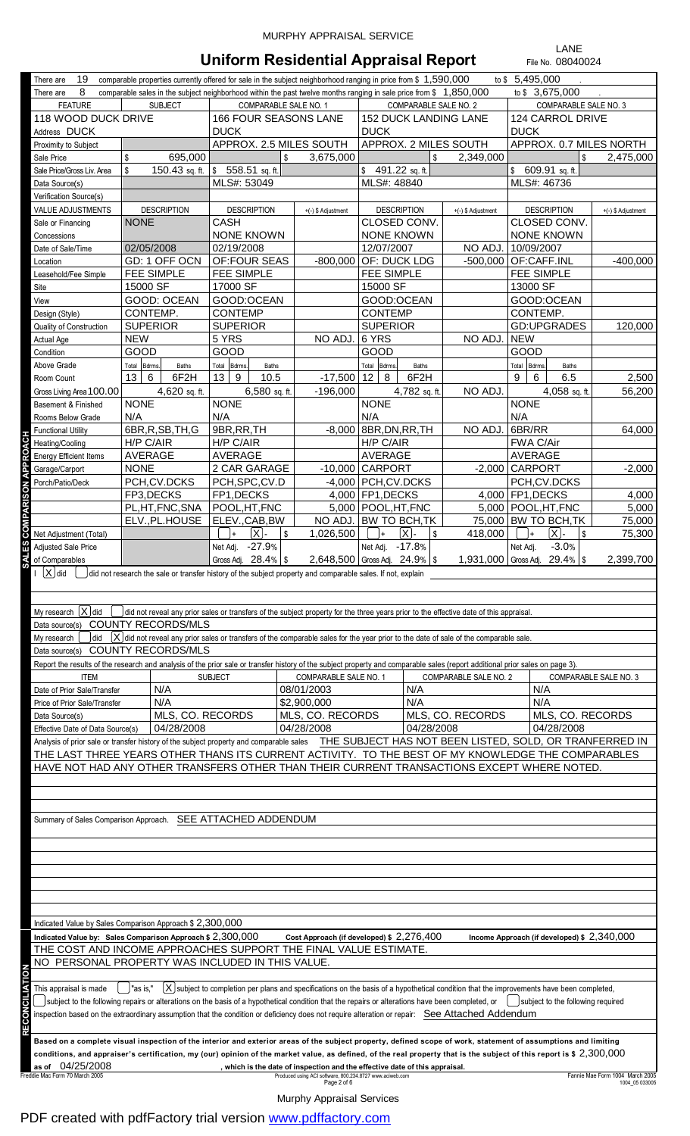## MURPHY APPRAISAL SERVICE

## **Uniform Residential Appraisal Report** File No. 08040024

LANE

| 19<br>There are                                                                                                                                                                                                              |                |                                    |                                             | comparable properties currently offered for sale in the subject neighborhood ranging in price from \$1,590,000                                           |                            |                               |                        | to \$5,495,000    |                                            |                         |
|------------------------------------------------------------------------------------------------------------------------------------------------------------------------------------------------------------------------------|----------------|------------------------------------|---------------------------------------------|----------------------------------------------------------------------------------------------------------------------------------------------------------|----------------------------|-------------------------------|------------------------|-------------------|--------------------------------------------|-------------------------|
| 8<br>There are                                                                                                                                                                                                               |                |                                    |                                             | comparable sales in the subject neighborhood within the past twelve months ranging in sale price from \$ 1,850,000                                       |                            |                               |                        |                   | to \$3,675,000                             |                         |
| <b>FEATURE</b>                                                                                                                                                                                                               |                | <b>SUBJECT</b>                     |                                             | COMPARABLE SALE NO. 1                                                                                                                                    |                            | COMPARABLE SALE NO. 2         |                        |                   | COMPARABLE SALE NO. 3                      |                         |
| 118 WOOD DUCK DRIVE                                                                                                                                                                                                          |                |                                    |                                             | 166 FOUR SEASONS LANE                                                                                                                                    |                            |                               | 152 DUCK LANDING LANE  |                   | 124 CARROL DRIVE                           |                         |
| Address DUCK                                                                                                                                                                                                                 |                |                                    | <b>DUCK</b>                                 |                                                                                                                                                          | <b>DUCK</b>                |                               |                        | <b>DUCK</b>       |                                            |                         |
| Proximity to Subject                                                                                                                                                                                                         |                |                                    |                                             | APPROX. 2.5 MILES SOUTH                                                                                                                                  |                            |                               | APPROX. 2 MILES SOUTH  |                   |                                            | APPROX. 0.7 MILES NORTH |
| Sale Price                                                                                                                                                                                                                   | \$             | 695,000                            |                                             | \$<br>3,675,000                                                                                                                                          |                            | \$                            | 2,349,000              |                   | \$                                         | 2,475,000               |
| Sale Price/Gross Liv. Area                                                                                                                                                                                                   | \$             |                                    | 150.43 sq. ft.   \$ 558.51 sq. ft.          |                                                                                                                                                          | \$491.22 sq. ft.           |                               |                        | \$                | 609.91 sq. ft.                             |                         |
| Data Source(s)                                                                                                                                                                                                               |                |                                    | MLS#: 53049                                 |                                                                                                                                                          | MLS#: 48840                |                               |                        | MLS#: 46736       |                                            |                         |
| Verification Source(s)                                                                                                                                                                                                       |                |                                    |                                             |                                                                                                                                                          |                            |                               |                        |                   |                                            |                         |
|                                                                                                                                                                                                                              |                |                                    |                                             |                                                                                                                                                          | <b>DESCRIPTION</b>         |                               |                        |                   | <b>DESCRIPTION</b>                         |                         |
| <b>VALUE ADJUSTMENTS</b><br>Sale or Financing                                                                                                                                                                                | <b>NONE</b>    | <b>DESCRIPTION</b>                 | <b>DESCRIPTION</b><br><b>CASH</b>           | +(-) \$ Adjustment                                                                                                                                       | CLOSED CONV.               |                               | +(-) \$ Adjustment     |                   | CLOSED CONV.                               | +(-) \$ Adjustment      |
|                                                                                                                                                                                                                              |                |                                    | <b>NONE KNOWN</b>                           |                                                                                                                                                          | <b>NONE KNOWN</b>          |                               |                        |                   | <b>NONE KNOWN</b>                          |                         |
| Concessions                                                                                                                                                                                                                  |                | 02/05/2008                         | 02/19/2008                                  |                                                                                                                                                          | 12/07/2007                 |                               | NO ADJ.                | 10/09/2007        |                                            |                         |
| Date of Sale/Time                                                                                                                                                                                                            |                |                                    |                                             | $-800.000$                                                                                                                                               | OF: DUCK LDG               |                               | -500,000 OF: CAFF. INL |                   |                                            | $-400.000$              |
| Location                                                                                                                                                                                                                     |                | GD: 1 OFF OCN<br><b>FEE SIMPLE</b> | OF:FOUR SEAS                                |                                                                                                                                                          |                            |                               |                        |                   |                                            |                         |
| Leasehold/Fee Simple                                                                                                                                                                                                         |                |                                    | <b>FEE SIMPLE</b>                           |                                                                                                                                                          | <b>FEE SIMPLE</b>          |                               |                        | <b>FEE SIMPLE</b> |                                            |                         |
| Site                                                                                                                                                                                                                         | 15000 SF       |                                    | 17000 SF                                    |                                                                                                                                                          | 15000 SF                   |                               |                        | 13000 SF          |                                            |                         |
| View                                                                                                                                                                                                                         |                | GOOD: OCEAN                        | GOOD:OCEAN                                  |                                                                                                                                                          | GOOD:OCEAN                 |                               |                        |                   | GOOD:OCEAN                                 |                         |
| Design (Style)                                                                                                                                                                                                               |                | CONTEMP.                           | <b>CONTEMP</b>                              |                                                                                                                                                          | <b>CONTEMP</b>             |                               |                        | CONTEMP.          |                                            |                         |
| Quality of Construction                                                                                                                                                                                                      |                | <b>SUPERIOR</b>                    | <b>SUPERIOR</b>                             |                                                                                                                                                          | <b>SUPERIOR</b>            |                               |                        |                   | <b>GD:UPGRADES</b>                         | 120,000                 |
| Actual Age                                                                                                                                                                                                                   | <b>NEW</b>     |                                    | 5 YRS                                       | NO ADJ.                                                                                                                                                  | 6 YRS                      |                               | NO ADJ.                | <b>NEW</b>        |                                            |                         |
| Condition                                                                                                                                                                                                                    | GOOD           |                                    | GOOD                                        |                                                                                                                                                          | GOOD                       |                               |                        | GOOD              |                                            |                         |
| Above Grade                                                                                                                                                                                                                  | Total Bdrms.   | Baths                              | Total Bdrms.<br>Baths                       |                                                                                                                                                          | Total Bdrms.               | <b>Baths</b>                  |                        | Bdrms.<br>Total   | Baths                                      |                         |
| Room Count                                                                                                                                                                                                                   | 13<br>6        | 6F <sub>2</sub> H                  | $\boldsymbol{9}$<br>10.5<br>13              | $-17,500$                                                                                                                                                | 8<br>12                    | 6F2H                          |                        | 9<br>6            | 6.5                                        | 2,500                   |
| Gross Living Area 100.00                                                                                                                                                                                                     |                | 4,620 sq. ft.                      | 6,580 sq. ft.                               | $-196,000$                                                                                                                                               |                            | 4,782 sq. ft.                 | NO ADJ.                |                   | 4,058 sq. ft.                              | 56,200                  |
| Basement & Finished                                                                                                                                                                                                          | <b>NONE</b>    |                                    | <b>NONE</b>                                 |                                                                                                                                                          | <b>NONE</b>                |                               |                        | <b>NONE</b>       |                                            |                         |
| Rooms Below Grade                                                                                                                                                                                                            | N/A            |                                    | N/A                                         |                                                                                                                                                          | N/A                        |                               |                        | N/A               |                                            |                         |
| <b>Functional Utility</b>                                                                                                                                                                                                    |                | 6BR, R, SB, TH, G                  | 9BR, RR, TH                                 |                                                                                                                                                          | $-8,000$   8BR, DN, RR, TH |                               | NO ADJ.                | 6BR/RR            |                                            | 64,000                  |
| Heating/Cooling                                                                                                                                                                                                              | H/P C/AIR      |                                    | H/P C/AIR                                   |                                                                                                                                                          | H/P C/AIR                  |                               |                        | <b>FWA C/Air</b>  |                                            |                         |
| <b>Energy Efficient Items</b>                                                                                                                                                                                                | <b>AVERAGE</b> |                                    | <b>AVERAGE</b>                              |                                                                                                                                                          | <b>AVERAGE</b>             |                               |                        | AVERAGE           |                                            |                         |
| Garage/Carport                                                                                                                                                                                                               | <b>NONE</b>    |                                    | 2 CAR GARAGE                                | $-10,000$                                                                                                                                                | <b>CARPORT</b>             |                               | $-2,000$               | <b>CARPORT</b>    |                                            | $-2,000$                |
| Porch/Patio/Deck                                                                                                                                                                                                             |                | PCH, CV. DCKS                      | PCH, SPC, CV.D                              |                                                                                                                                                          | $-4,000$ PCH, CV. DCKS     |                               |                        |                   | PCH,CV.DCKS                                |                         |
|                                                                                                                                                                                                                              |                | FP3, DECKS                         | FP1, DECKS                                  |                                                                                                                                                          | 4,000 FP1, DECKS           |                               |                        | 4,000 FP1, DECKS  |                                            | 4,000                   |
|                                                                                                                                                                                                                              |                | PL, HT, FNC, SNA                   | POOL, HT, FNC                               |                                                                                                                                                          | $5,000$ POOL, HT, FNC      |                               |                        |                   | $5,000$ POOL, HT, FNC                      | 5,000                   |
| ອ<br>ວິ                                                                                                                                                                                                                      |                | ELV., PL. HOUSE                    | ELEV., CAB, BW                              | NO ADJ.                                                                                                                                                  | BW TO BCH, TK              |                               |                        |                   | 75,000 BW TO BCH, TK                       | 75,000                  |
| Net Adjustment (Total)                                                                                                                                                                                                       |                |                                    | $\left[\overline{\mathsf{X}}\right]$<br>$+$ | \$<br>1,026,500                                                                                                                                          | $\ddot{}$                  | $\overline{\mathsf{x}}$<br>\$ | 418,000                | $ + $             | $\lbrack \mathsf{X} \rbrack$ -<br>\$       | 75,300                  |
| £<br><b>Adjusted Sale Price</b>                                                                                                                                                                                              |                |                                    | Net Adj. - 27.9%                            |                                                                                                                                                          | Net Adj. -17.8%            |                               |                        | Net Adj.          | $-3.0%$                                    |                         |
| of Comparables                                                                                                                                                                                                               |                |                                    | Gross Adj. 28.4% \$                         | 2,648,500 Gross Adj. 24.9% \$                                                                                                                            |                            |                               | 1,931,000 Gross Adj.   |                   | $29.4\%$ \$                                | 2,399,700               |
|                                                                                                                                                                                                                              |                |                                    |                                             |                                                                                                                                                          |                            |                               |                        |                   |                                            |                         |
| $\left[\overline{X}\right]$ did<br>did not research the sale or transfer history of the subject property and comparable sales. If not, explain                                                                               |                |                                    |                                             |                                                                                                                                                          |                            |                               |                        |                   |                                            |                         |
|                                                                                                                                                                                                                              |                |                                    |                                             |                                                                                                                                                          |                            |                               |                        |                   |                                            |                         |
|                                                                                                                                                                                                                              |                |                                    |                                             |                                                                                                                                                          |                            |                               |                        |                   |                                            |                         |
| My research $[X]$ did                                                                                                                                                                                                        |                |                                    |                                             | did not reveal any prior sales or transfers of the subject property for the three years prior to the effective date of this appraisal.                   |                            |                               |                        |                   |                                            |                         |
| Data source(s) COUNTY RECORDS/MLS                                                                                                                                                                                            |                |                                    |                                             |                                                                                                                                                          |                            |                               |                        |                   |                                            |                         |
| My research                                                                                                                                                                                                                  |                |                                    |                                             | $ \text{did} \times $ did not reveal any prior sales or transfers of the comparable sales for the year prior to the date of sale of the comparable sale. |                            |                               |                        |                   |                                            |                         |
| Data source(s) COUNTY RECORDS/MLS                                                                                                                                                                                            |                |                                    |                                             |                                                                                                                                                          |                            |                               |                        |                   |                                            |                         |
| Report the results of the research and analysis of the prior sale or transfer history of the subject property and comparable sales (report additional prior sales on page 3).<br><b>ITEM</b>                                 |                |                                    |                                             |                                                                                                                                                          |                            |                               |                        |                   |                                            |                         |
| Date of Prior Sale/Transfer                                                                                                                                                                                                  |                | N/A                                | <b>SUBJECT</b>                              | COMPARABLE SALE NO. 1<br>08/01/2003                                                                                                                      |                            | N/A                           | COMPARABLE SALE NO. 2  | N/A               |                                            | COMPARABLE SALE NO. 3   |
|                                                                                                                                                                                                                              |                | N/A                                |                                             |                                                                                                                                                          |                            | N/A                           |                        | N/A               |                                            |                         |
| Price of Prior Sale/Transfer<br>Data Source(s)                                                                                                                                                                               |                |                                    |                                             | \$2,900,000<br>MLS, CO. RECORDS                                                                                                                          |                            |                               |                        |                   |                                            |                         |
| Effective Date of Data Source(s)                                                                                                                                                                                             |                | MLS, CO. RECORDS<br>04/28/2008     |                                             | 04/28/2008                                                                                                                                               |                            | 04/28/2008                    | MLS, CO. RECORDS       |                   | MLS, CO. RECORDS<br>04/28/2008             |                         |
| Analysis of prior sale or transfer history of the subject property and comparable sales THE SUBJECT HAS NOT BEEN LISTED, SOLD, OR TRANFERRED IN                                                                              |                |                                    |                                             |                                                                                                                                                          |                            |                               |                        |                   |                                            |                         |
| THE LAST THREE YEARS OTHER THANS ITS CURRENT ACTIVITY. TO THE BEST OF MY KNOWLEDGE THE COMPARABLES                                                                                                                           |                |                                    |                                             |                                                                                                                                                          |                            |                               |                        |                   |                                            |                         |
| HAVE NOT HAD ANY OTHER TRANSFERS OTHER THAN THEIR CURRENT TRANSACTIONS EXCEPT WHERE NOTED.                                                                                                                                   |                |                                    |                                             |                                                                                                                                                          |                            |                               |                        |                   |                                            |                         |
|                                                                                                                                                                                                                              |                |                                    |                                             |                                                                                                                                                          |                            |                               |                        |                   |                                            |                         |
|                                                                                                                                                                                                                              |                |                                    |                                             |                                                                                                                                                          |                            |                               |                        |                   |                                            |                         |
|                                                                                                                                                                                                                              |                |                                    |                                             |                                                                                                                                                          |                            |                               |                        |                   |                                            |                         |
| Summary of Sales Comparison Approach.                                                                                                                                                                                        |                |                                    | SEE ATTACHED ADDENDUM                       |                                                                                                                                                          |                            |                               |                        |                   |                                            |                         |
|                                                                                                                                                                                                                              |                |                                    |                                             |                                                                                                                                                          |                            |                               |                        |                   |                                            |                         |
|                                                                                                                                                                                                                              |                |                                    |                                             |                                                                                                                                                          |                            |                               |                        |                   |                                            |                         |
|                                                                                                                                                                                                                              |                |                                    |                                             |                                                                                                                                                          |                            |                               |                        |                   |                                            |                         |
|                                                                                                                                                                                                                              |                |                                    |                                             |                                                                                                                                                          |                            |                               |                        |                   |                                            |                         |
|                                                                                                                                                                                                                              |                |                                    |                                             |                                                                                                                                                          |                            |                               |                        |                   |                                            |                         |
|                                                                                                                                                                                                                              |                |                                    |                                             |                                                                                                                                                          |                            |                               |                        |                   |                                            |                         |
|                                                                                                                                                                                                                              |                |                                    |                                             |                                                                                                                                                          |                            |                               |                        |                   |                                            |                         |
| Indicated Value by Sales Comparison Approach \$ 2,300,000                                                                                                                                                                    |                |                                    |                                             |                                                                                                                                                          |                            |                               |                        |                   |                                            |                         |
| Indicated Value by: Sales Comparison Approach \$ 2,300,000                                                                                                                                                                   |                |                                    |                                             | Cost Approach (if developed) \$ 2,276,400                                                                                                                |                            |                               |                        |                   | Income Approach (if developed) \$2,340,000 |                         |
| THE COST AND INCOME APPROACHES SUPPORT THE FINAL VALUE ESTIMATE.                                                                                                                                                             |                |                                    |                                             |                                                                                                                                                          |                            |                               |                        |                   |                                            |                         |
| NO PERSONAL PROPERTY WAS INCLUDED IN THIS VALUE.                                                                                                                                                                             |                |                                    |                                             |                                                                                                                                                          |                            |                               |                        |                   |                                            |                         |
|                                                                                                                                                                                                                              |                |                                    |                                             |                                                                                                                                                          |                            |                               |                        |                   |                                            |                         |
| This appraisal is made                                                                                                                                                                                                       | l"as is."      |                                    |                                             | $ X $ subject to completion per plans and specifications on the basis of a hypothetical condition that the improvements have been completed,             |                            |                               |                        |                   |                                            |                         |
|                                                                                                                                                                                                                              |                |                                    |                                             | ∫subject to the following repairs or alterations on the basis of a hypothetical condition that the repairs or alterations have been completed, or        |                            |                               |                        |                   | subject to the following required          |                         |
| ECONCILIA<br>inspection based on the extraordinary assumption that the condition or deficiency does not require alteration or repair: See Attached Addendum                                                                  |                |                                    |                                             |                                                                                                                                                          |                            |                               |                        |                   |                                            |                         |
|                                                                                                                                                                                                                              |                |                                    |                                             |                                                                                                                                                          |                            |                               |                        |                   |                                            |                         |
| Based on a complete visual inspection of the interior and exterior areas of the subject property, defined scope of work, statement of assumptions and limiting                                                               |                |                                    |                                             |                                                                                                                                                          |                            |                               |                        |                   |                                            |                         |
| conditions, and appraiser's certification, my (our) opinion of the market value, as defined, of the real property that is the subject of this report is \$ $2,300,000$<br>as of 04/25/2008<br>Freddie Mac Form 70 March 2005 |                |                                    |                                             | , which is the date of inspection and the effective date of this appraisal.                                                                              |                            |                               |                        |                   |                                            |                         |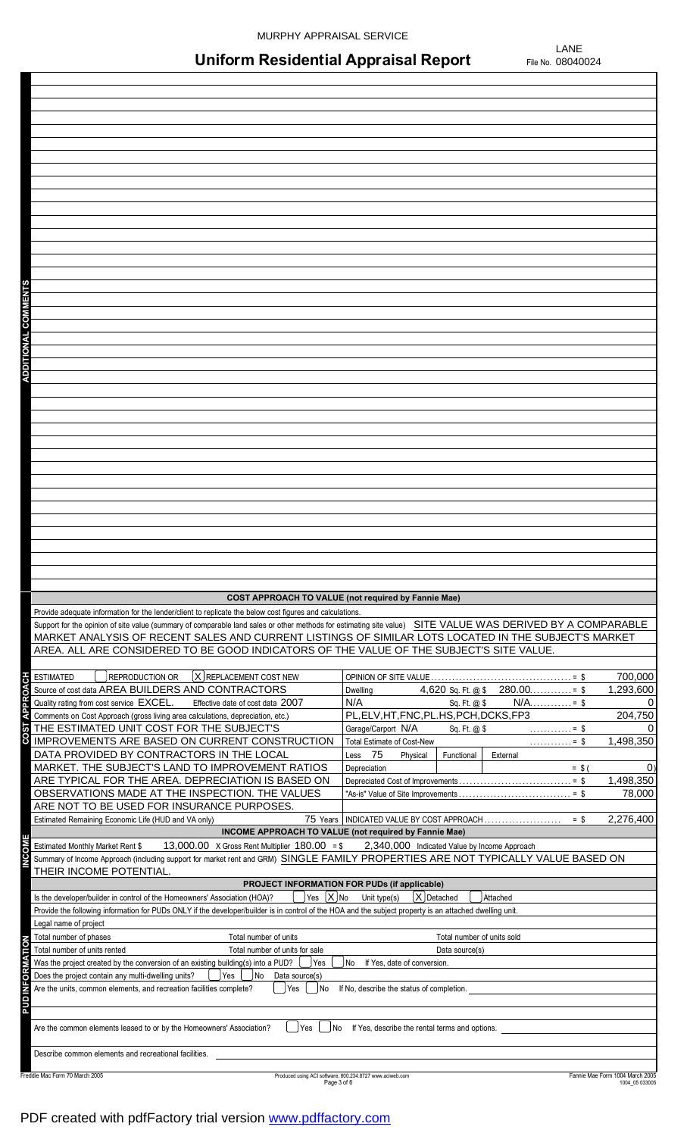| <b>ADDITIONAL COMMENTS</b>       |                                                                                                                                                            |                                                                                                           |                                          |
|----------------------------------|------------------------------------------------------------------------------------------------------------------------------------------------------------|-----------------------------------------------------------------------------------------------------------|------------------------------------------|
|                                  |                                                                                                                                                            |                                                                                                           |                                          |
|                                  |                                                                                                                                                            |                                                                                                           |                                          |
|                                  |                                                                                                                                                            |                                                                                                           |                                          |
|                                  |                                                                                                                                                            |                                                                                                           |                                          |
|                                  |                                                                                                                                                            |                                                                                                           |                                          |
|                                  |                                                                                                                                                            |                                                                                                           |                                          |
|                                  |                                                                                                                                                            |                                                                                                           |                                          |
|                                  |                                                                                                                                                            |                                                                                                           |                                          |
|                                  |                                                                                                                                                            |                                                                                                           |                                          |
|                                  |                                                                                                                                                            |                                                                                                           |                                          |
|                                  |                                                                                                                                                            |                                                                                                           |                                          |
|                                  |                                                                                                                                                            |                                                                                                           |                                          |
|                                  |                                                                                                                                                            |                                                                                                           |                                          |
|                                  |                                                                                                                                                            |                                                                                                           |                                          |
|                                  |                                                                                                                                                            |                                                                                                           |                                          |
|                                  |                                                                                                                                                            |                                                                                                           |                                          |
|                                  |                                                                                                                                                            |                                                                                                           |                                          |
|                                  |                                                                                                                                                            |                                                                                                           |                                          |
|                                  |                                                                                                                                                            |                                                                                                           |                                          |
|                                  |                                                                                                                                                            |                                                                                                           |                                          |
|                                  |                                                                                                                                                            |                                                                                                           |                                          |
|                                  |                                                                                                                                                            |                                                                                                           |                                          |
|                                  |                                                                                                                                                            |                                                                                                           |                                          |
|                                  |                                                                                                                                                            |                                                                                                           |                                          |
|                                  |                                                                                                                                                            | <b>COST APPROACH TO VALUE (not required by Fannie Mae)</b>                                                |                                          |
|                                  | Provide adequate information for the lender/client to replicate the below cost figures and calculations.                                                   |                                                                                                           |                                          |
|                                  | Support for the opinion of site value (summary of comparable land sales or other methods for estimating site value) SITE VALUE WAS DERIVED BY A COMPARABLE |                                                                                                           |                                          |
|                                  | MARKET ANALYSIS OF RECENT SALES AND CURRENT LISTINGS OF SIMILAR LOTS LOCATED IN THE SUBJECT'S MARKET                                                       |                                                                                                           |                                          |
|                                  | AREA. ALL ARE CONSIDERED TO BE GOOD INDICATORS OF THE VALUE OF THE SUBJECT'S SITE VALUE.                                                                   |                                                                                                           |                                          |
|                                  |                                                                                                                                                            |                                                                                                           |                                          |
|                                  | $\lfloor x \rfloor$ REPLACEMENT COST NEW<br><b>REPRODUCTION OR</b><br><b>ESTIMATED</b>                                                                     | OPINION OF SITE VALUE $\ldots \ldots \ldots \ldots \ldots \ldots \ldots \ldots \ldots \ldots \ldots =$ \$ | 700,000                                  |
|                                  | Source of cost data AREA BUILDERS AND CONTRACTORS                                                                                                          | 4,620 Sq. Ft. @ \$280.00 = \$<br>Dwelling                                                                 | 1,293,600                                |
|                                  | Quality rating from cost service EXCEL.<br>Effective date of cost data 2007                                                                                | N/A<br>Sq. Ft. @ \$                                                                                       | $N/A$ = \$<br>0                          |
|                                  | Comments on Cost Approach (gross living area calculations, depreciation, etc.)                                                                             | PL, ELV, HT, FNC, PL. HS, PCH, DCKS, FP3                                                                  | 204,750                                  |
|                                  | THE ESTIMATED UNIT COST FOR THE SUBJECT'S                                                                                                                  | Garage/Carport N/A<br>Sq. Ft. @ \$                                                                        | $\ldots \ldots \ldots =$ \$<br>0         |
| <b>ROACH</b><br>ā<br><b>COST</b> | IMPROVEMENTS ARE BASED ON CURRENT CONSTRUCTION                                                                                                             | <b>Total Estimate of Cost-New</b>                                                                         | 1,498,350<br>$\ldots \ldots \ldots =$ \$ |
|                                  | DATA PROVIDED BY CONTRACTORS IN THE LOCAL                                                                                                                  | Less 75<br>Physical<br>Functional<br>External                                                             |                                          |
|                                  | MARKET. THE SUBJECT'S LAND TO IMPROVEMENT RATIOS                                                                                                           | Depreciation                                                                                              | $\Omega$<br>$=$ \$ (                     |
|                                  | ARE TYPICAL FOR THE AREA. DEPRECIATION IS BASED ON                                                                                                         |                                                                                                           | 1,498,350                                |
|                                  | OBSERVATIONS MADE AT THE INSPECTION. THE VALUES                                                                                                            |                                                                                                           | 78,000                                   |
|                                  | ARE NOT TO BE USED FOR INSURANCE PURPOSES.                                                                                                                 |                                                                                                           |                                          |
|                                  |                                                                                                                                                            |                                                                                                           |                                          |
|                                  | Estimated Remaining Economic Life (HUD and VA only)                                                                                                        | 75 Years   INDICATED VALUE BY COST APPROACH                                                               | 2,276,400<br>$=$ \$                      |
|                                  |                                                                                                                                                            | INCOME APPROACH TO VALUE (not required by Fannie Mae)                                                     |                                          |
|                                  | 13,000.00 X Gross Rent Multiplier 180.00 = \$2,340,000 Indicated Value by Income Approach<br>Estimated Monthly Market Rent \$                              |                                                                                                           |                                          |
| <b>Noch</b>                      | Summary of Income Approach (including support for market rent and GRM) SINGLE FAMILY PROPERTIES ARE NOT TYPICALLY VALUE BASED ON                           |                                                                                                           |                                          |
|                                  | THEIR INCOME POTENTIAL.                                                                                                                                    |                                                                                                           |                                          |
|                                  |                                                                                                                                                            | PROJECT INFORMATION FOR PUDs (if applicable)                                                              |                                          |
|                                  | Yes X No<br>Is the developer/builder in control of the Homeowners' Association (HOA)?                                                                      | $ X $ Detached<br>Unit type(s)<br>Attached                                                                |                                          |
|                                  | Provide the following information for PUDs ONLY if the developer/builder is in control of the HOA and the subject property is an attached dwelling unit.   |                                                                                                           |                                          |
|                                  | Legal name of project                                                                                                                                      |                                                                                                           |                                          |
|                                  | Total number of phases<br>Total number of units                                                                                                            | Total number of units sold                                                                                |                                          |
|                                  | Total number of units for sale<br>Total number of units rented                                                                                             | Data source(s)                                                                                            |                                          |
|                                  | Was the project created by the conversion of an existing building(s) into a PUD?<br>Yes                                                                    | If Yes, date of conversion.<br>l No                                                                       |                                          |
| p                                | Does the project contain any multi-dwelling units?<br>l Yes<br>l No<br>Data source(s)                                                                      |                                                                                                           |                                          |
|                                  | Are the units, common elements, and recreation facilities complete?<br>  Yes<br>l No                                                                       | If No, describe the status of completion.                                                                 |                                          |
| c<br>F                           |                                                                                                                                                            |                                                                                                           |                                          |
|                                  |                                                                                                                                                            |                                                                                                           |                                          |
|                                  | Are the common elements leased to or by the Homeowners' Association?<br>Yes<br>l No                                                                        | If Yes, describe the rental terms and options.                                                            |                                          |
|                                  |                                                                                                                                                            |                                                                                                           |                                          |
|                                  | Describe common elements and recreational facilities.                                                                                                      |                                                                                                           |                                          |
|                                  | Freddie Mac Form 70 March 2005                                                                                                                             | Produced using ACI software, 800.234.8727 www.aciweb.com                                                  | Fannie Mae Form 1004 March 2005          |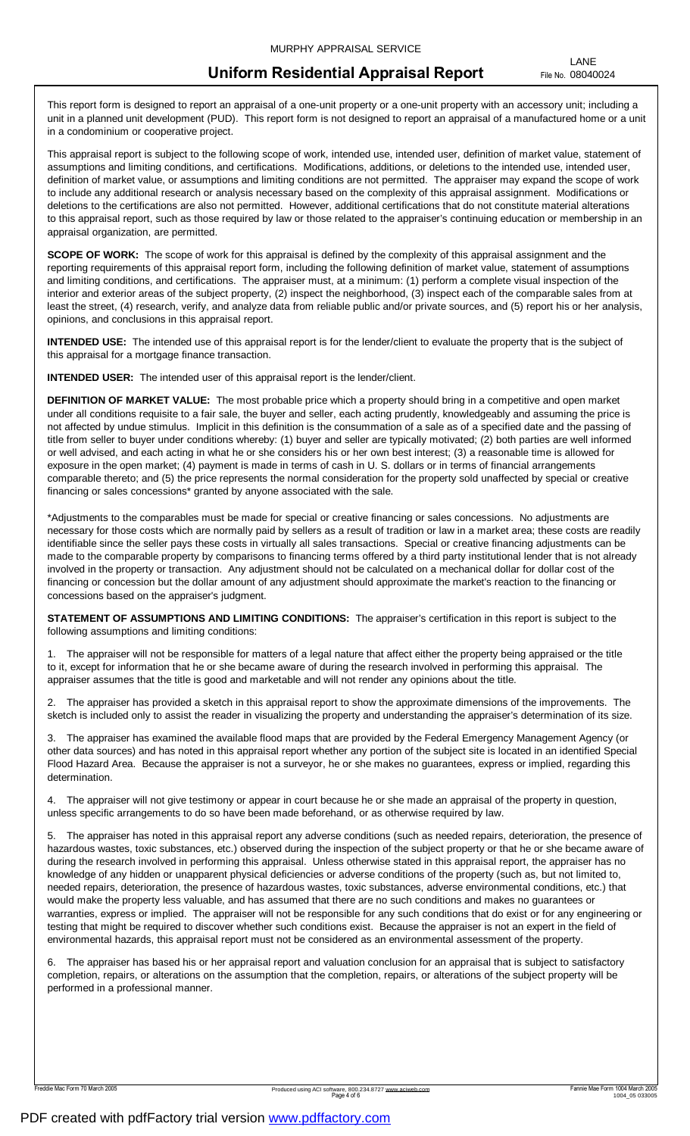File No. 08040024 LANE

This report form is designed to report an appraisal of a one-unit property or a one-unit property with an accessory unit; including a unit in a planned unit development (PUD). This report form is not designed to report an appraisal of a manufactured home or a unit in a condominium or cooperative project.

This appraisal report is subject to the following scope of work, intended use, intended user, definition of market value, statement of assumptions and limiting conditions, and certifications. Modifications, additions, or deletions to the intended use, intended user, definition of market value, or assumptions and limiting conditions are not permitted. The appraiser may expand the scope of work to include any additional research or analysis necessary based on the complexity of this appraisal assignment. Modifications or deletions to the certifications are also not permitted. However, additional certifications that do not constitute material alterations to this appraisal report, such as those required by law or those related to the appraiser's continuing education or membership in an appraisal organization, are permitted.

**SCOPE OF WORK:** The scope of work for this appraisal is defined by the complexity of this appraisal assignment and the reporting requirements of this appraisal report form, including the following definition of market value, statement of assumptions and limiting conditions, and certifications. The appraiser must, at a minimum: (1) perform a complete visual inspection of the interior and exterior areas of the subject property, (2) inspect the neighborhood, (3) inspect each of the comparable sales from at least the street, (4) research, verify, and analyze data from reliable public and/or private sources, and (5) report his or her analysis, opinions, and conclusions in this appraisal report.

**INTENDED USE:** The intended use of this appraisal report is for the lender/client to evaluate the property that is the subject of this appraisal for a mortgage finance transaction.

**INTENDED USER:** The intended user of this appraisal report is the lender/client.

**DEFINITION OF MARKET VALUE:** The most probable price which a property should bring in a competitive and open market under all conditions requisite to a fair sale, the buyer and seller, each acting prudently, knowledgeably and assuming the price is not affected by undue stimulus. Implicit in this definition is the consummation of a sale as of a specified date and the passing of title from seller to buyer under conditions whereby: (1) buyer and seller are typically motivated; (2) both parties are well informed or well advised, and each acting in what he or she considers his or her own best interest; (3) a reasonable time is allowed for exposure in the open market; (4) payment is made in terms of cash in U. S. dollars or in terms of financial arrangements comparable thereto; and (5) the price represents the normal consideration for the property sold unaffected by special or creative financing or sales concessions\* granted by anyone associated with the sale.

\*Adjustments to the comparables must be made for special or creative financing or sales concessions. No adjustments are necessary for those costs which are normally paid by sellers as a result of tradition or law in a market area; these costs are readily identifiable since the seller pays these costs in virtually all sales transactions. Special or creative financing adjustments can be made to the comparable property by comparisons to financing terms offered by a third party institutional lender that is not already involved in the property or transaction. Any adjustment should not be calculated on a mechanical dollar for dollar cost of the financing or concession but the dollar amount of any adjustment should approximate the market's reaction to the financing or concessions based on the appraiser's judgment.

**STATEMENT OF ASSUMPTIONS AND LIMITING CONDITIONS:** The appraiser's certification in this report is subject to the following assumptions and limiting conditions:

1. The appraiser will not be responsible for matters of a legal nature that affect either the property being appraised or the title to it, except for information that he or she became aware of during the research involved in performing this appraisal. The appraiser assumes that the title is good and marketable and will not render any opinions about the title.

2. The appraiser has provided a sketch in this appraisal report to show the approximate dimensions of the improvements. The sketch is included only to assist the reader in visualizing the property and understanding the appraiser's determination of its size.

3. The appraiser has examined the available flood maps that are provided by the Federal Emergency Management Agency (or other data sources) and has noted in this appraisal report whether any portion of the subject site is located in an identified Special Flood Hazard Area. Because the appraiser is not a surveyor, he or she makes no guarantees, express or implied, regarding this determination.

4. The appraiser will not give testimony or appear in court because he or she made an appraisal of the property in question, unless specific arrangements to do so have been made beforehand, or as otherwise required by law.

5. The appraiser has noted in this appraisal report any adverse conditions (such as needed repairs, deterioration, the presence of hazardous wastes, toxic substances, etc.) observed during the inspection of the subject property or that he or she became aware of during the research involved in performing this appraisal. Unless otherwise stated in this appraisal report, the appraiser has no knowledge of any hidden or unapparent physical deficiencies or adverse conditions of the property (such as, but not limited to, needed repairs, deterioration, the presence of hazardous wastes, toxic substances, adverse environmental conditions, etc.) that would make the property less valuable, and has assumed that there are no such conditions and makes no guarantees or warranties, express or implied. The appraiser will not be responsible for any such conditions that do exist or for any engineering or testing that might be required to discover whether such conditions exist. Because the appraiser is not an expert in the field of environmental hazards, this appraisal report must not be considered as an environmental assessment of the property.

6. The appraiser has based his or her appraisal report and valuation conclusion for an appraisal that is subject to satisfactory completion, repairs, or alterations on the assumption that the completion, repairs, or alterations of the subject property will be performed in a professional manner.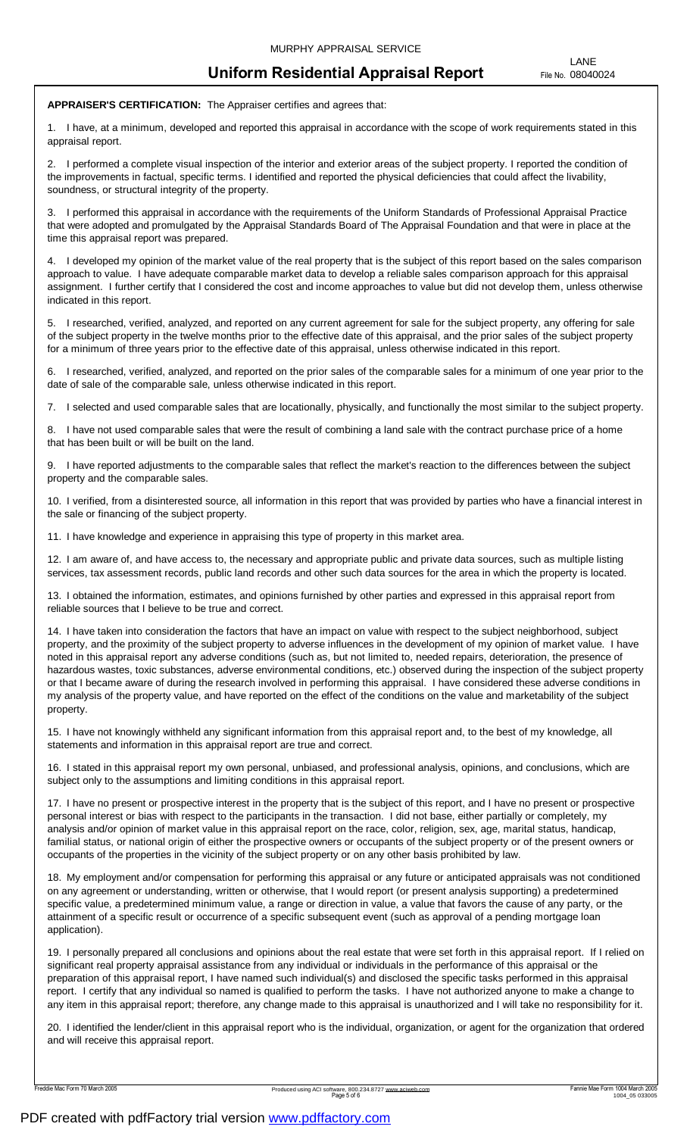### **APPRAISER'S CERTIFICATION:** The Appraiser certifies and agrees that:

1. I have, at a minimum, developed and reported this appraisal in accordance with the scope of work requirements stated in this appraisal report.

2. I performed a complete visual inspection of the interior and exterior areas of the subject property. I reported the condition of the improvements in factual, specific terms. I identified and reported the physical deficiencies that could affect the livability, soundness, or structural integrity of the property.

3. I performed this appraisal in accordance with the requirements of the Uniform Standards of Professional Appraisal Practice that were adopted and promulgated by the Appraisal Standards Board of The Appraisal Foundation and that were in place at the time this appraisal report was prepared.

4. I developed my opinion of the market value of the real property that is the subject of this report based on the sales comparison approach to value. I have adequate comparable market data to develop a reliable sales comparison approach for this appraisal assignment. I further certify that I considered the cost and income approaches to value but did not develop them, unless otherwise indicated in this report.

5. I researched, verified, analyzed, and reported on any current agreement for sale for the subject property, any offering for sale of the subject property in the twelve months prior to the effective date of this appraisal, and the prior sales of the subject property for a minimum of three years prior to the effective date of this appraisal, unless otherwise indicated in this report.

6. I researched, verified, analyzed, and reported on the prior sales of the comparable sales for a minimum of one year prior to the date of sale of the comparable sale, unless otherwise indicated in this report.

7. I selected and used comparable sales that are locationally, physically, and functionally the most similar to the subject property.

8. I have not used comparable sales that were the result of combining a land sale with the contract purchase price of a home that has been built or will be built on the land.

I have reported adjustments to the comparable sales that reflect the market's reaction to the differences between the subject property and the comparable sales.

10. I verified, from a disinterested source, all information in this report that was provided by parties who have a financial interest in the sale or financing of the subject property.

11. I have knowledge and experience in appraising this type of property in this market area.

12. I am aware of, and have access to, the necessary and appropriate public and private data sources, such as multiple listing services, tax assessment records, public land records and other such data sources for the area in which the property is located.

13. I obtained the information, estimates, and opinions furnished by other parties and expressed in this appraisal report from reliable sources that I believe to be true and correct.

14. I have taken into consideration the factors that have an impact on value with respect to the subject neighborhood, subject property, and the proximity of the subject property to adverse influences in the development of my opinion of market value. I have noted in this appraisal report any adverse conditions (such as, but not limited to, needed repairs, deterioration, the presence of hazardous wastes, toxic substances, adverse environmental conditions, etc.) observed during the inspection of the subject property or that I became aware of during the research involved in performing this appraisal. I have considered these adverse conditions in my analysis of the property value, and have reported on the effect of the conditions on the value and marketability of the subject property.

15. I have not knowingly withheld any significant information from this appraisal report and, to the best of my knowledge, all statements and information in this appraisal report are true and correct.

16. I stated in this appraisal report my own personal, unbiased, and professional analysis, opinions, and conclusions, which are subject only to the assumptions and limiting conditions in this appraisal report.

17. I have no present or prospective interest in the property that is the subject of this report, and I have no present or prospective personal interest or bias with respect to the participants in the transaction. I did not base, either partially or completely, my analysis and/or opinion of market value in this appraisal report on the race, color, religion, sex, age, marital status, handicap, familial status, or national origin of either the prospective owners or occupants of the subject property or of the present owners or occupants of the properties in the vicinity of the subject property or on any other basis prohibited by law.

18. My employment and/or compensation for performing this appraisal or any future or anticipated appraisals was not conditioned on any agreement or understanding, written or otherwise, that I would report (or present analysis supporting) a predetermined specific value, a predetermined minimum value, a range or direction in value, a value that favors the cause of any party, or the attainment of a specific result or occurrence of a specific subsequent event (such as approval of a pending mortgage loan application).

19. I personally prepared all conclusions and opinions about the real estate that were set forth in this appraisal report. If I relied on significant real property appraisal assistance from any individual or individuals in the performance of this appraisal or the preparation of this appraisal report, I have named such individual(s) and disclosed the specific tasks performed in this appraisal report. I certify that any individual so named is qualified to perform the tasks. I have not authorized anyone to make a change to any item in this appraisal report; therefore, any change made to this appraisal is unauthorized and I will take no responsibility for it.

20. I identified the lender/client in this appraisal report who is the individual, organization, or agent for the organization that ordered and will receive this appraisal report.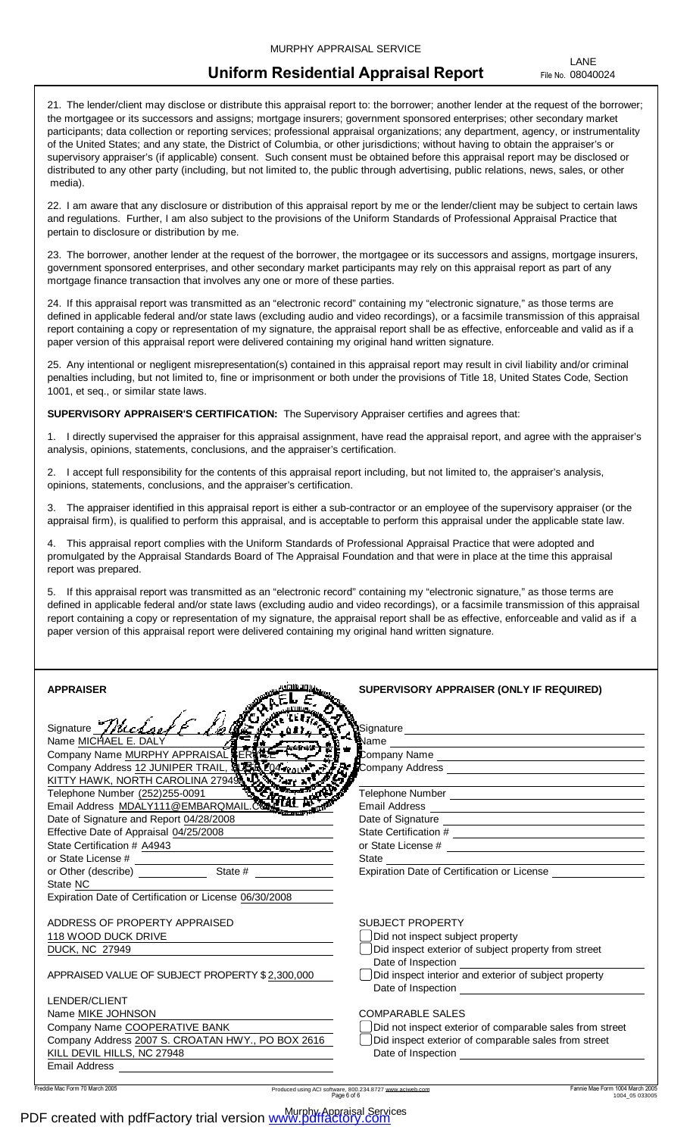File No. 08040024 **LANE** 

21. The lender/client may disclose or distribute this appraisal report to: the borrower; another lender at the request of the borrower; the mortgagee or its successors and assigns; mortgage insurers; government sponsored enterprises; other secondary market participants; data collection or reporting services; professional appraisal organizations; any department, agency, or instrumentality of the United States; and any state, the District of Columbia, or other jurisdictions; without having to obtain the appraiser's or supervisory appraiser's (if applicable) consent. Such consent must be obtained before this appraisal report may be disclosed or distributed to any other party (including, but not limited to, the public through advertising, public relations, news, sales, or other media).

22. I am aware that any disclosure or distribution of this appraisal report by me or the lender/client may be subject to certain laws and regulations. Further, I am also subject to the provisions of the Uniform Standards of Professional Appraisal Practice that pertain to disclosure or distribution by me.

23. The borrower, another lender at the request of the borrower, the mortgagee or its successors and assigns, mortgage insurers, government sponsored enterprises, and other secondary market participants may rely on this appraisal report as part of any mortgage finance transaction that involves any one or more of these parties.

24. If this appraisal report was transmitted as an "electronic record" containing my "electronic signature," as those terms are defined in applicable federal and/or state laws (excluding audio and video recordings), or a facsimile transmission of this appraisal report containing a copy or representation of my signature, the appraisal report shall be as effective, enforceable and valid as if a paper version of this appraisal report were delivered containing my original hand written signature.

25. Any intentional or negligent misrepresentation(s) contained in this appraisal report may result in civil liability and/or criminal penalties including, but not limited to, fine or imprisonment or both under the provisions of Title 18, United States Code, Section 1001, et seq., or similar state laws.

**SUPERVISORY APPRAISER'S CERTIFICATION:** The Supervisory Appraiser certifies and agrees that:

1. I directly supervised the appraiser for this appraisal assignment, have read the appraisal report, and agree with the appraiser's analysis, opinions, statements, conclusions, and the appraiser's certification.

2. I accept full responsibility for the contents of this appraisal report including, but not limited to, the appraiser's analysis, opinions, statements, conclusions, and the appraiser's certification.

3. The appraiser identified in this appraisal report is either a sub-contractor or an employee of the supervisory appraiser (or the appraisal firm), is qualified to perform this appraisal, and is acceptable to perform this appraisal under the applicable state law.

4. This appraisal report complies with the Uniform Standards of Professional Appraisal Practice that were adopted and promulgated by the Appraisal Standards Board of The Appraisal Foundation and that were in place at the time this appraisal report was prepared.

5. If this appraisal report was transmitted as an "electronic record" containing my "electronic signature," as those terms are defined in applicable federal and/or state laws (excluding audio and video recordings), or a facsimile transmission of this appraisal report containing a copy or representation of my signature, the appraisal report shall be as effective, enforceable and valid as if a paper version of this appraisal report were delivered containing my original hand written signature.

| <b>APPRAISER</b>                                                                                                                                                             | SUPERVISORY APPRAISER (ONLY IF REQUIRED)                                                                                                                                                                                                                                                    |
|------------------------------------------------------------------------------------------------------------------------------------------------------------------------------|---------------------------------------------------------------------------------------------------------------------------------------------------------------------------------------------------------------------------------------------------------------------------------------------|
| Signature <i>Michael F. Le</i><br>Name MICHAEL E. DALY<br>Company Name MURPHY APPRAISAL SER<br>Company Address 12 JUNIPER TRAIL, STARY<br>KITTY HAWK, NORTH CAROLINA 27949 U |                                                                                                                                                                                                                                                                                             |
| Telephone Number (252)255-0091                                                                                                                                               |                                                                                                                                                                                                                                                                                             |
| Email Address MDALY111@EMBARQMAIL.C                                                                                                                                          |                                                                                                                                                                                                                                                                                             |
| Date of Signature and Report 04/28/2008                                                                                                                                      | Date of Signature <b>Date of Signature</b>                                                                                                                                                                                                                                                  |
| Effective Date of Appraisal 04/25/2008                                                                                                                                       |                                                                                                                                                                                                                                                                                             |
| State Certification # A4943                                                                                                                                                  |                                                                                                                                                                                                                                                                                             |
|                                                                                                                                                                              |                                                                                                                                                                                                                                                                                             |
|                                                                                                                                                                              | Expiration Date of Certification or License                                                                                                                                                                                                                                                 |
| State NC                                                                                                                                                                     |                                                                                                                                                                                                                                                                                             |
| Expiration Date of Certification or License 06/30/2008                                                                                                                       |                                                                                                                                                                                                                                                                                             |
| ADDRESS OF PROPERTY APPRAISED<br>118 WOOD DUCK DRIVE<br><b>DUCK, NC 27949</b>                                                                                                | <b>SUBJECT PROPERTY</b><br>Did not inspect subject property<br>Did inspect exterior of subject property from street                                                                                                                                                                         |
| APPRAISED VALUE OF SUBJECT PROPERTY \$2,300,000<br>LENDER/CLIENT                                                                                                             | Did inspect interior and exterior of subject property<br>Date of Inspection <b>Example 20</b> Figure 20 Figure 20 Figure 20 Figure 20 Figure 20 Figure 20 Figure 20 Figure 20 Figure 20 Figure 20 Figure 20 Figure 20 Figure 20 Figure 20 Figure 20 Figure 20 Figure 20 Figure 20 Figure 20 |
| Name MIKE JOHNSON                                                                                                                                                            | COMPARABLE SALES                                                                                                                                                                                                                                                                            |
| Company Name COOPERATIVE BANK                                                                                                                                                | Did not inspect exterior of comparable sales from street                                                                                                                                                                                                                                    |
| Company Address 2007 S. CROATAN HWY., PO BOX 2616                                                                                                                            | Did inspect exterior of comparable sales from street                                                                                                                                                                                                                                        |
| KILL DEVIL HILLS, NC 27948                                                                                                                                                   |                                                                                                                                                                                                                                                                                             |
| <b>Email Address</b>                                                                                                                                                         |                                                                                                                                                                                                                                                                                             |
|                                                                                                                                                                              |                                                                                                                                                                                                                                                                                             |

Freddie Mac Form 70 March 2005 Produced using ACI software, 800.234.8727 [www.aciweb.com](http://www.aciweb.com) Fannie Mae Form 1004 March 2005<br>Page 6 of 6 Page 6 of 6

1004 05 0330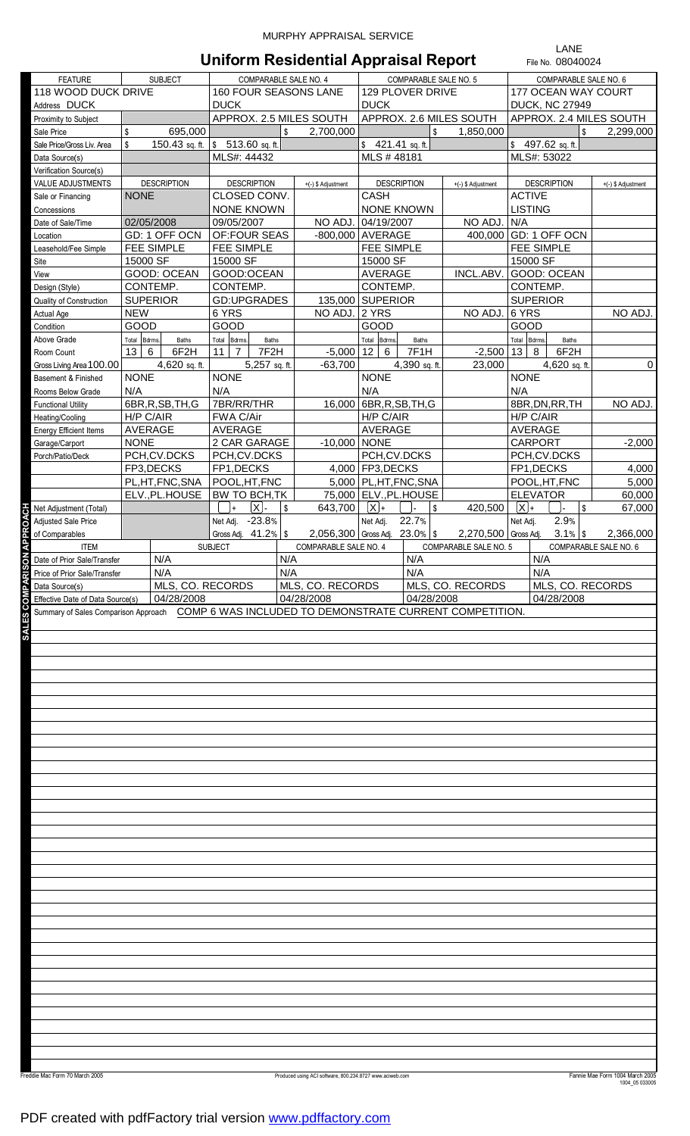## MURPHY APPRAISAL SERVICE

LANE

|  |  |  |  |  | <b>Uniform Residential Appraisal Report</b> |
|--|--|--|--|--|---------------------------------------------|
|--|--|--|--|--|---------------------------------------------|

|                                                                                                                                  |                    |                                |                                        | <b>Uniform Residential Appraisal Report</b> |                                                 |                       |                         |                              | File No. 08040024     |                         |
|----------------------------------------------------------------------------------------------------------------------------------|--------------------|--------------------------------|----------------------------------------|---------------------------------------------|-------------------------------------------------|-----------------------|-------------------------|------------------------------|-----------------------|-------------------------|
| <b>FEATURE</b>                                                                                                                   |                    | <b>SUBJECT</b>                 |                                        | COMPARABLE SALE NO. 4                       |                                                 | COMPARABLE SALE NO. 5 |                         |                              | COMPARABLE SALE NO. 6 |                         |
| 118 WOOD DUCK DRIVE                                                                                                              |                    |                                |                                        | 160 FOUR SEASONS LANE                       |                                                 | 129 PLOVER DRIVE      |                         |                              | 177 OCEAN WAY COURT   |                         |
| Address DUCK                                                                                                                     |                    |                                | <b>DUCK</b>                            |                                             | <b>DUCK</b>                                     |                       |                         |                              | <b>DUCK, NC 27949</b> |                         |
| Proximity to Subject                                                                                                             |                    |                                |                                        | APPROX. 2.5 MILES SOUTH                     |                                                 |                       | APPROX. 2.6 MILES SOUTH |                              |                       | APPROX. 2.4 MILES SOUTH |
| Sale Price                                                                                                                       | \$                 | 695,000                        |                                        | $\mathbb{S}$<br>2,700,000                   |                                                 | \$                    | 1,850,000               |                              | \$                    | 2,299,000               |
| Sale Price/Gross Liv. Area                                                                                                       | \$                 |                                | 150.43 sq. ft.   \$ 513.60 sq. ft.     |                                             | \$ 421.41 sq. ft.                               |                       |                         |                              | \$497.62 sq. ft.      |                         |
| Data Source(s)<br>Verification Source(s)                                                                                         |                    |                                | MLS#: 44432                            |                                             | MLS #48181                                      |                       |                         | MLS#: 53022                  |                       |                         |
| VALUE ADJUSTMENTS                                                                                                                |                    | <b>DESCRIPTION</b>             | <b>DESCRIPTION</b>                     | +(-) \$ Adjustment                          | <b>DESCRIPTION</b>                              |                       | +(-) \$ Adjustment      |                              | <b>DESCRIPTION</b>    | +(-) \$ Adjustment      |
| Sale or Financing                                                                                                                | <b>NONE</b>        |                                | CLOSED CONV.                           |                                             | <b>CASH</b>                                     |                       |                         | <b>ACTIVE</b>                |                       |                         |
| Concessions                                                                                                                      |                    |                                | <b>NONE KNOWN</b>                      |                                             | NONE KNOWN                                      |                       |                         | <b>LISTING</b>               |                       |                         |
| Date of Sale/Time                                                                                                                |                    | 02/05/2008                     | 09/05/2007                             | NO ADJ.                                     | 04/19/2007                                      |                       | NO ADJ.                 | N/A                          |                       |                         |
| Location                                                                                                                         |                    | GD: 1 OFF OCN                  | <b>OF:FOUR SEAS</b>                    |                                             | -800,000 AVERAGE                                |                       |                         |                              | 400,000 GD: 1 OFF OCN |                         |
| Leasehold/Fee Simple                                                                                                             |                    | <b>FEE SIMPLE</b>              | <b>FEE SIMPLE</b>                      |                                             | FEE SIMPLE                                      |                       |                         | <b>FEE SIMPLE</b>            |                       |                         |
| Site<br>View                                                                                                                     | 15000 SF           | GOOD: OCEAN                    | 15000 SF<br>GOOD:OCEAN                 |                                             | 15000 SF<br><b>AVERAGE</b>                      |                       | INCL.ABV.               | 15000 SF                     | GOOD: OCEAN           |                         |
| Design (Style)                                                                                                                   |                    | CONTEMP.                       | CONTEMP.                               |                                             | CONTEMP.                                        |                       |                         | CONTEMP.                     |                       |                         |
| Quality of Construction                                                                                                          |                    | <b>SUPERIOR</b>                | <b>GD:UPGRADES</b>                     |                                             | 135,000 SUPERIOR                                |                       |                         | <b>SUPERIOR</b>              |                       |                         |
| Actual Age                                                                                                                       | <b>NEW</b>         |                                | 6 YRS                                  | NO ADJ. 2 YRS                               |                                                 |                       | NO ADJ.                 | 6 YRS                        |                       | NO ADJ.                 |
| Condition                                                                                                                        | GOOD               |                                | GOOD                                   |                                             | GOOD                                            |                       |                         | GOOD                         |                       |                         |
| Above Grade                                                                                                                      | Total Bdrms.       | <b>Baths</b>                   | <b>Bdrms</b><br>Baths<br>Total         |                                             | Total<br>Bdrms.                                 | Baths                 |                         | Bdrms.<br>Total              | <b>Baths</b>          |                         |
| Room Count                                                                                                                       | 13                 | $6\phantom{1}6$<br>6F2H        | $\overline{7}$<br>7F2H<br>11           | $-5,000$                                    | 6<br>12                                         | 7F1H                  | $-2,500$                | $\bf 8$<br>13                | 6F2H                  |                         |
| Gross Living Area 100.00                                                                                                         |                    | 4,620 sq. ft.                  | 5,257 sq. ft.                          | $-63,700$                                   |                                                 | 4,390 sq. ft.         | 23,000                  |                              | 4,620 sq. ft.         | $\mathbf 0$             |
| Basement & Finished                                                                                                              | <b>NONE</b><br>N/A |                                | <b>NONE</b><br>N/A                     |                                             | <b>NONE</b><br>N/A                              |                       |                         | <b>NONE</b><br>N/A           |                       |                         |
| Rooms Below Grade<br><b>Functional Utility</b>                                                                                   |                    | 6BR, R, SB, TH, G              | 7BR/RR/THR                             |                                             | 16,000   6BR, R, SB, TH, G                      |                       |                         |                              | 8BR, DN, RR, TH       | NO ADJ.                 |
| Heating/Cooling                                                                                                                  | H/P C/AIR          |                                | <b>FWA C/Air</b>                       |                                             | H/P C/AIR                                       |                       |                         | H/P C/AIR                    |                       |                         |
| <b>Energy Efficient Items</b>                                                                                                    |                    | <b>AVERAGE</b>                 | <b>AVERAGE</b>                         |                                             | <b>AVERAGE</b>                                  |                       |                         | <b>AVERAGE</b>               |                       |                         |
| Garage/Carport                                                                                                                   | <b>NONE</b>        |                                | 2 CAR GARAGE                           |                                             | $-10,000$ NONE                                  |                       |                         | <b>CARPORT</b>               |                       | $-2,000$                |
| Porch/Patio/Deck                                                                                                                 |                    | PCH, CV. DCKS                  | PCH, CV. DCKS                          |                                             | PCH, CV. DCKS                                   |                       |                         |                              | PCH, CV. DCKS         |                         |
|                                                                                                                                  |                    | FP3, DECKS                     | FP1, DECKS                             |                                             | 4,000 FP3, DECKS                                |                       |                         | FP1, DECKS                   |                       | 4,000                   |
|                                                                                                                                  |                    | PL, HT, FNC, SNA               | POOL, HT, FNC                          |                                             | $5,000$ PL, HT, FNC, SNA                        |                       |                         |                              | POOL, HT, FNC         | 5,000                   |
| Net Adjustment (Total)                                                                                                           |                    | ELV., PL. HOUSE                | BW TO BCH, TK<br>$\mathsf{[x]}$<br>$+$ | 643,700<br>\$                               | 75,000 ELV., PL. HOUSE<br>$\lfloor x \rfloor$ + | \$                    | 420,500                 | <b>ELEVATOR</b><br>$[X]_{+}$ | \$                    | 60.000<br>67,000        |
| <b>Adjusted Sale Price</b>                                                                                                       |                    |                                | $-23.8%$<br>Net Adj.                   |                                             | Net Adj.                                        | 22.7%                 |                         | Net Adj.                     | 2.9%                  |                         |
| of Comparables                                                                                                                   |                    |                                | Gross Adj. 41.2% \$                    | 2,056,300 Gross Adj. 23.0% \$               |                                                 |                       | 2,270,500 Gross Adj.    |                              | $3.1\%$ \$            | 2.366.000               |
| <b>ITEM</b>                                                                                                                      |                    |                                | <b>SUBJECT</b>                         | COMPARABLE SALE NO. 4                       |                                                 |                       | COMPARABLE SALE NO. 5   |                              |                       | COMPARABLE SALE NO. 6   |
| N<br>Date of Prior Sale/Transfer                                                                                                 |                    | N/A                            |                                        | N/A                                         |                                                 | N/A                   |                         | N/A                          |                       |                         |
| Price of Prior Sale/Transfer                                                                                                     |                    | N/A                            |                                        | N/A                                         |                                                 | N/A                   |                         | N/A                          |                       |                         |
| S COMPA<br>Data Source(s)                                                                                                        |                    | MLS, CO. RECORDS<br>04/28/2008 |                                        | MLS, CO. RECORDS<br>04/28/2008              |                                                 |                       | MLS, CO. RECORDS        |                              | MLS, CO. RECORDS      |                         |
| Effective Date of Data Source(s)<br>Summary of Sales Comparison Approach COMP 6 WAS INCLUDED TO DEMONSTRATE CURRENT COMPETITION. |                    |                                |                                        |                                             |                                                 | 04/28/2008            |                         |                              | 04/28/2008            |                         |
|                                                                                                                                  |                    |                                |                                        |                                             |                                                 |                       |                         |                              |                       |                         |
| ส                                                                                                                                |                    |                                |                                        |                                             |                                                 |                       |                         |                              |                       |                         |
|                                                                                                                                  |                    |                                |                                        |                                             |                                                 |                       |                         |                              |                       |                         |
|                                                                                                                                  |                    |                                |                                        |                                             |                                                 |                       |                         |                              |                       |                         |
|                                                                                                                                  |                    |                                |                                        |                                             |                                                 |                       |                         |                              |                       |                         |
|                                                                                                                                  |                    |                                |                                        |                                             |                                                 |                       |                         |                              |                       |                         |
|                                                                                                                                  |                    |                                |                                        |                                             |                                                 |                       |                         |                              |                       |                         |
|                                                                                                                                  |                    |                                |                                        |                                             |                                                 |                       |                         |                              |                       |                         |
|                                                                                                                                  |                    |                                |                                        |                                             |                                                 |                       |                         |                              |                       |                         |
|                                                                                                                                  |                    |                                |                                        |                                             |                                                 |                       |                         |                              |                       |                         |
|                                                                                                                                  |                    |                                |                                        |                                             |                                                 |                       |                         |                              |                       |                         |
|                                                                                                                                  |                    |                                |                                        |                                             |                                                 |                       |                         |                              |                       |                         |
|                                                                                                                                  |                    |                                |                                        |                                             |                                                 |                       |                         |                              |                       |                         |
|                                                                                                                                  |                    |                                |                                        |                                             |                                                 |                       |                         |                              |                       |                         |
|                                                                                                                                  |                    |                                |                                        |                                             |                                                 |                       |                         |                              |                       |                         |
|                                                                                                                                  |                    |                                |                                        |                                             |                                                 |                       |                         |                              |                       |                         |
|                                                                                                                                  |                    |                                |                                        |                                             |                                                 |                       |                         |                              |                       |                         |
|                                                                                                                                  |                    |                                |                                        |                                             |                                                 |                       |                         |                              |                       |                         |
|                                                                                                                                  |                    |                                |                                        |                                             |                                                 |                       |                         |                              |                       |                         |
|                                                                                                                                  |                    |                                |                                        |                                             |                                                 |                       |                         |                              |                       |                         |
|                                                                                                                                  |                    |                                |                                        |                                             |                                                 |                       |                         |                              |                       |                         |
|                                                                                                                                  |                    |                                |                                        |                                             |                                                 |                       |                         |                              |                       |                         |
|                                                                                                                                  |                    |                                |                                        |                                             |                                                 |                       |                         |                              |                       |                         |
|                                                                                                                                  |                    |                                |                                        |                                             |                                                 |                       |                         |                              |                       |                         |
|                                                                                                                                  |                    |                                |                                        |                                             |                                                 |                       |                         |                              |                       |                         |
|                                                                                                                                  |                    |                                |                                        |                                             |                                                 |                       |                         |                              |                       |                         |
|                                                                                                                                  |                    |                                |                                        |                                             |                                                 |                       |                         |                              |                       |                         |
|                                                                                                                                  |                    |                                |                                        |                                             |                                                 |                       |                         |                              |                       |                         |
|                                                                                                                                  |                    |                                |                                        |                                             |                                                 |                       |                         |                              |                       |                         |
|                                                                                                                                  |                    |                                |                                        |                                             |                                                 |                       |                         |                              |                       |                         |
|                                                                                                                                  |                    |                                |                                        |                                             |                                                 |                       |                         |                              |                       |                         |
| Freddie Mac Form 70 March 2005                                                                                                   |                    |                                |                                        |                                             |                                                 |                       |                         |                              |                       |                         |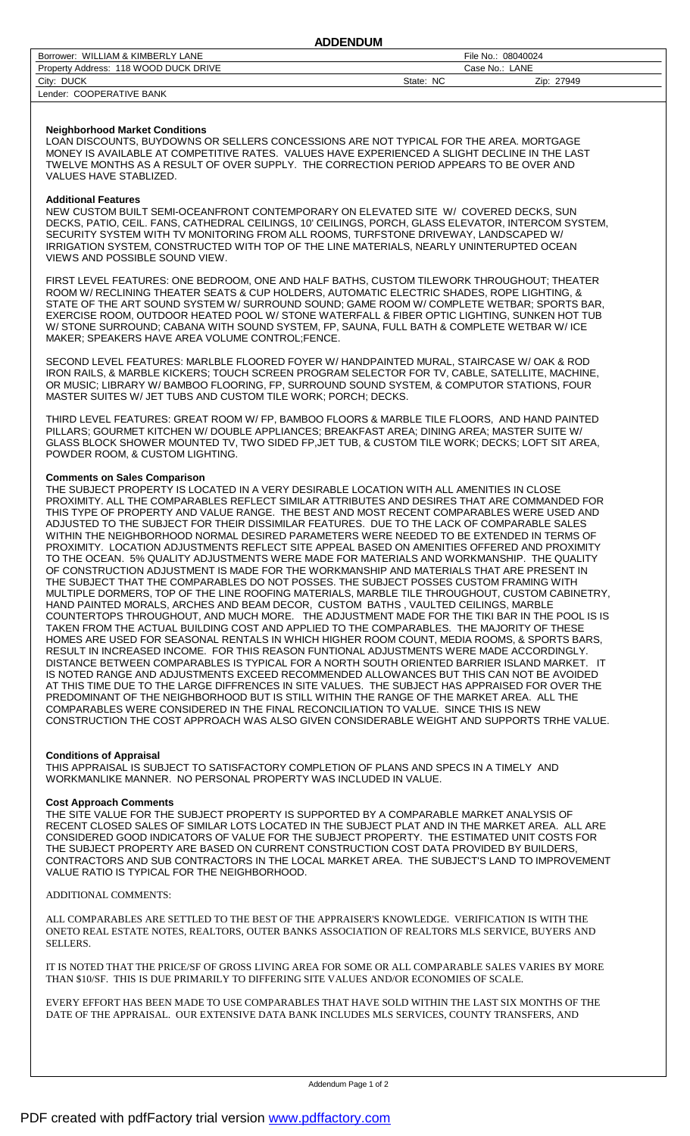|  | <b>ADDENDUM</b> |
|--|-----------------|
|  |                 |

| Borrower: WILLIAM & KIMBERLY LANE     | File No.: 08040024 |            |  |
|---------------------------------------|--------------------|------------|--|
| Property Address: 118 WOOD DUCK DRIVE | Case No.: LANE     |            |  |
| City: DUCK                            | State: NC          | Zip: 27949 |  |
| Lender: COOPERATIVE BANK              |                    |            |  |

### **Neighborhood Market Conditions**

LOAN DISCOUNTS, BUYDOWNS OR SELLERS CONCESSIONS ARE NOT TYPICAL FOR THE AREA. MORTGAGE MONEY IS AVAILABLE AT COMPETITIVE RATES. VALUES HAVE EXPERIENCED A SLIGHT DECLINE IN THE LAST TWELVE MONTHS AS A RESULT OF OVER SUPPLY. THE CORRECTION PERIOD APPEARS TO BE OVER AND VALUES HAVE STABLIZED.

### **Additional Features**

NEW CUSTOM BUILT SEMI-OCEANFRONT CONTEMPORARY ON ELEVATED SITE W/ COVERED DECKS, SUN DECKS, PATIO, CEIL. FANS, CATHEDRAL CEILINGS, 10' CEILINGS, PORCH, GLASS ELEVATOR, INTERCOM SYSTEM, SECURITY SYSTEM WITH TV MONITORING FROM ALL ROOMS, TURFSTONE DRIVEWAY, LANDSCAPED W/ IRRIGATION SYSTEM, CONSTRUCTED WITH TOP OF THE LINE MATERIALS, NEARLY UNINTERUPTED OCEAN VIEWS AND POSSIBLE SOUND VIEW.

FIRST LEVEL FEATURES: ONE BEDROOM, ONE AND HALF BATHS, CUSTOM TILEWORK THROUGHOUT; THEATER ROOM W/ RECLINING THEATER SEATS & CUP HOLDERS, AUTOMATIC ELECTRIC SHADES, ROPE LIGHTING, & STATE OF THE ART SOUND SYSTEM W/ SURROUND SOUND; GAME ROOM W/ COMPLETE WETBAR; SPORTS BAR, EXERCISE ROOM, OUTDOOR HEATED POOL W/ STONE WATERFALL & FIBER OPTIC LIGHTING, SUNKEN HOT TUB W/ STONE SURROUND; CABANA WITH SOUND SYSTEM, FP, SAUNA, FULL BATH & COMPLETE WETBAR W/ ICE MAKER; SPEAKERS HAVE AREA VOLUME CONTROL;FENCE.

SECOND LEVEL FEATURES: MARLBLE FLOORED FOYER W/ HANDPAINTED MURAL, STAIRCASE W/ OAK & ROD IRON RAILS, & MARBLE KICKERS; TOUCH SCREEN PROGRAM SELECTOR FOR TV, CABLE, SATELLITE, MACHINE, OR MUSIC; LIBRARY W/ BAMBOO FLOORING, FP, SURROUND SOUND SYSTEM, & COMPUTOR STATIONS, FOUR MASTER SUITES W/ JET TUBS AND CUSTOM TILE WORK; PORCH; DECKS.

THIRD LEVEL FEATURES: GREAT ROOM W/ FP, BAMBOO FLOORS & MARBLE TILE FLOORS, AND HAND PAINTED PILLARS; GOURMET KITCHEN W/ DOUBLE APPLIANCES; BREAKFAST AREA; DINING AREA; MASTER SUITE W/ GLASS BLOCK SHOWER MOUNTED TV, TWO SIDED FP,JET TUB, & CUSTOM TILE WORK; DECKS; LOFT SIT AREA, POWDER ROOM, & CUSTOM LIGHTING.

### **Comments on Sales Comparison**

THE SUBJECT PROPERTY IS LOCATED IN A VERY DESIRABLE LOCATION WITH ALL AMENITIES IN CLOSE PROXIMITY. ALL THE COMPARABLES REFLECT SIMILAR ATTRIBUTES AND DESIRES THAT ARE COMMANDED FOR THIS TYPE OF PROPERTY AND VALUE RANGE. THE BEST AND MOST RECENT COMPARABLES WERE USED AND ADJUSTED TO THE SUBJECT FOR THEIR DISSIMILAR FEATURES. DUE TO THE LACK OF COMPARABLE SALES WITHIN THE NEIGHBORHOOD NORMAL DESIRED PARAMETERS WERE NEEDED TO BE EXTENDED IN TERMS OF PROXIMITY. LOCATION ADJUSTMENTS REFLECT SITE APPEAL BASED ON AMENITIES OFFERED AND PROXIMITY TO THE OCEAN. 5% QUALITY ADJUSTMENTS WERE MADE FOR MATERIALS AND WORKMANSHIP. THE QUALITY OF CONSTRUCTION ADJUSTMENT IS MADE FOR THE WORKMANSHIP AND MATERIALS THAT ARE PRESENT IN THE SUBJECT THAT THE COMPARABLES DO NOT POSSES. THE SUBJECT POSSES CUSTOM FRAMING WITH MULTIPLE DORMERS, TOP OF THE LINE ROOFING MATERIALS, MARBLE TILE THROUGHOUT, CUSTOM CABINETRY, HAND PAINTED MORALS, ARCHES AND BEAM DECOR, CUSTOM BATHS , VAULTED CEILINGS, MARBLE COUNTERTOPS THROUGHOUT, AND MUCH MORE. THE ADJUSTMENT MADE FOR THE TIKI BAR IN THE POOL IS IS TAKEN FROM THE ACTUAL BUILDING COST AND APPLIED TO THE COMPARABLES. THE MAJORITY OF THESE HOMES ARE USED FOR SEASONAL RENTALS IN WHICH HIGHER ROOM COUNT, MEDIA ROOMS, & SPORTS BARS, RESULT IN INCREASED INCOME. FOR THIS REASON FUNTIONAL ADJUSTMENTS WERE MADE ACCORDINGLY. DISTANCE BETWEEN COMPARABLES IS TYPICAL FOR A NORTH SOUTH ORIENTED BARRIER ISLAND MARKET. IT IS NOTED RANGE AND ADJUSTMENTS EXCEED RECOMMENDED ALLOWANCES BUT THIS CAN NOT BE AVOIDED AT THIS TIME DUE TO THE LARGE DIFFRENCES IN SITE VALUES. THE SUBJECT HAS APPRAISED FOR OVER THE PREDOMINANT OF THE NEIGHBORHOOD BUT IS STILL WITHIN THE RANGE OF THE MARKET AREA. ALL THE COMPARABLES WERE CONSIDERED IN THE FINAL RECONCILIATION TO VALUE. SINCE THIS IS NEW CONSTRUCTION THE COST APPROACH WAS ALSO GIVEN CONSIDERABLE WEIGHT AND SUPPORTS TRHE VALUE.

### **Conditions of Appraisal**

THIS APPRAISAL IS SUBJECT TO SATISFACTORY COMPLETION OF PLANS AND SPECS IN A TIMELY AND WORKMANLIKE MANNER. NO PERSONAL PROPERTY WAS INCLUDED IN VALUE.

### **Cost Approach Comments**

THE SITE VALUE FOR THE SUBJECT PROPERTY IS SUPPORTED BY A COMPARABLE MARKET ANALYSIS OF RECENT CLOSED SALES OF SIMILAR LOTS LOCATED IN THE SUBJECT PLAT AND IN THE MARKET AREA. ALL ARE CONSIDERED GOOD INDICATORS OF VALUE FOR THE SUBJECT PROPERTY. THE ESTIMATED UNIT COSTS FOR THE SUBJECT PROPERTY ARE BASED ON CURRENT CONSTRUCTION COST DATA PROVIDED BY BUILDERS, CONTRACTORS AND SUB CONTRACTORS IN THE LOCAL MARKET AREA. THE SUBJECT'S LAND TO IMPROVEMENT VALUE RATIO IS TYPICAL FOR THE NEIGHBORHOOD.

ADDITIONAL COMMENTS:

ALL COMPARABLES ARE SETTLED TO THE BEST OF THE APPRAISER'S KNOWLEDGE. VERIFICATION IS WITH THE ONETO REAL ESTATE NOTES, REALTORS, OUTER BANKS ASSOCIATION OF REALTORS MLS SERVICE, BUYERS AND SELLERS.

IT IS NOTED THAT THE PRICE/SF OF GROSS LIVING AREA FOR SOME OR ALL COMPARABLE SALES VARIES BY MORE THAN \$10/SF. THIS IS DUE PRIMARILY TO DIFFERING SITE VALUES AND/OR ECONOMIES OF SCALE.

EVERY EFFORT HAS BEEN MADE TO USE COMPARABLES THAT HAVE SOLD WITHIN THE LAST SIX MONTHS OF THE DATE OF THE APPRAISAL. OUR EXTENSIVE DATA BANK INCLUDES MLS SERVICES, COUNTY TRANSFERS, AND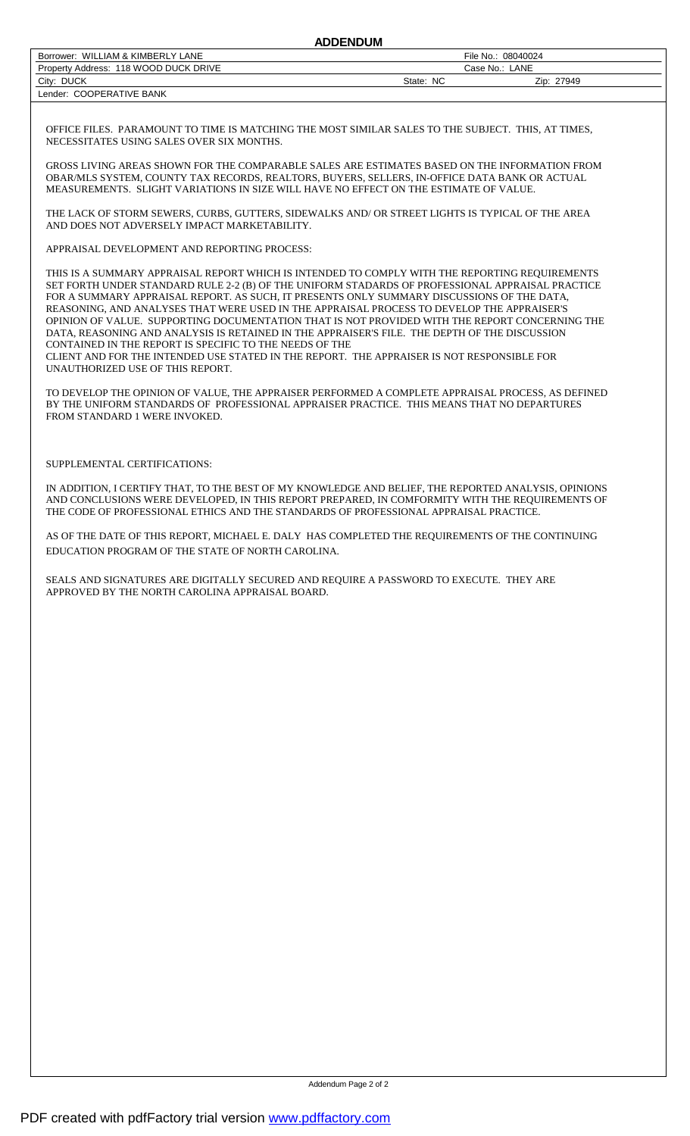| Borrower: WILLIAM & KIMBERLY LANE     | File No.: 08040024 |            |  |
|---------------------------------------|--------------------|------------|--|
| Property Address: 118 WOOD DUCK DRIVE | Case No.: LANE     |            |  |
| City: DUCK                            | State: NC          | Zip: 27949 |  |
| Lender: COOPERATIVE BANK              |                    |            |  |
|                                       |                    |            |  |

OFFICE FILES. PARAMOUNT TO TIME IS MATCHING THE MOST SIMILAR SALES TO THE SUBJECT. THIS, AT TIMES, NECESSITATES USING SALES OVER SIX MONTHS.

GROSS LIVING AREAS SHOWN FOR THE COMPARABLE SALES ARE ESTIMATES BASED ON THE INFORMATION FROM OBAR/MLS SYSTEM, COUNTY TAX RECORDS, REALTORS, BUYERS, SELLERS, IN-OFFICE DATA BANK OR ACTUAL MEASUREMENTS. SLIGHT VARIATIONS IN SIZE WILL HAVE NO EFFECT ON THE ESTIMATE OF VALUE.

THE LACK OF STORM SEWERS, CURBS, GUTTERS, SIDEWALKS AND/ OR STREET LIGHTS IS TYPICAL OF THE AREA AND DOES NOT ADVERSELY IMPACT MARKETABILITY.

APPRAISAL DEVELOPMENT AND REPORTING PROCESS:

THIS IS A SUMMARY APPRAISAL REPORT WHICH IS INTENDED TO COMPLY WITH THE REPORTING REQUIREMENTS SET FORTH UNDER STANDARD RULE 2-2 (B) OF THE UNIFORM STADARDS OF PROFESSIONAL APPRAISAL PRACTICE FOR A SUMMARY APPRAISAL REPORT. AS SUCH, IT PRESENTS ONLY SUMMARY DISCUSSIONS OF THE DATA, REASONING, AND ANALYSES THAT WERE USED IN THE APPRAISAL PROCESS TO DEVELOP THE APPRAISER'S OPINION OF VALUE. SUPPORTING DOCUMENTATION THAT IS NOT PROVIDED WITH THE REPORT CONCERNING THE DATA, REASONING AND ANALYSIS IS RETAINED IN THE APPRAISER'S FILE. THE DEPTH OF THE DISCUSSION CONTAINED IN THE REPORT IS SPECIFIC TO THE NEEDS OF THE

CLIENT AND FOR THE INTENDED USE STATED IN THE REPORT. THE APPRAISER IS NOT RESPONSIBLE FOR UNAUTHORIZED USE OF THIS REPORT.

TO DEVELOP THE OPINION OF VALUE, THE APPRAISER PERFORMED A COMPLETE APPRAISAL PROCESS, AS DEFINED BY THE UNIFORM STANDARDS OF PROFESSIONAL APPRAISER PRACTICE. THIS MEANS THAT NO DEPARTURES FROM STANDARD 1 WERE INVOKED.

SUPPLEMENTAL CERTIFICATIONS:

IN ADDITION, I CERTIFY THAT, TO THE BEST OF MY KNOWLEDGE AND BELIEF, THE REPORTED ANALYSIS, OPINIONS AND CONCLUSIONS WERE DEVELOPED, IN THIS REPORT PREPARED, IN COMFORMITY WITH THE REQUIREMENTS OF THE CODE OF PROFESSIONAL ETHICS AND THE STANDARDS OF PROFESSIONAL APPRAISAL PRACTICE.

AS OF THE DATE OF THIS REPORT, MICHAEL E. DALY HAS COMPLETED THE REQUIREMENTS OF THE CONTINUING EDUCATION PROGRAM OF THE STATE OF NORTH CAROLINA.

SEALS AND SIGNATURES ARE DIGITALLY SECURED AND REQUIRE A PASSWORD TO EXECUTE. THEY ARE APPROVED BY THE NORTH CAROLINA APPRAISAL BOARD.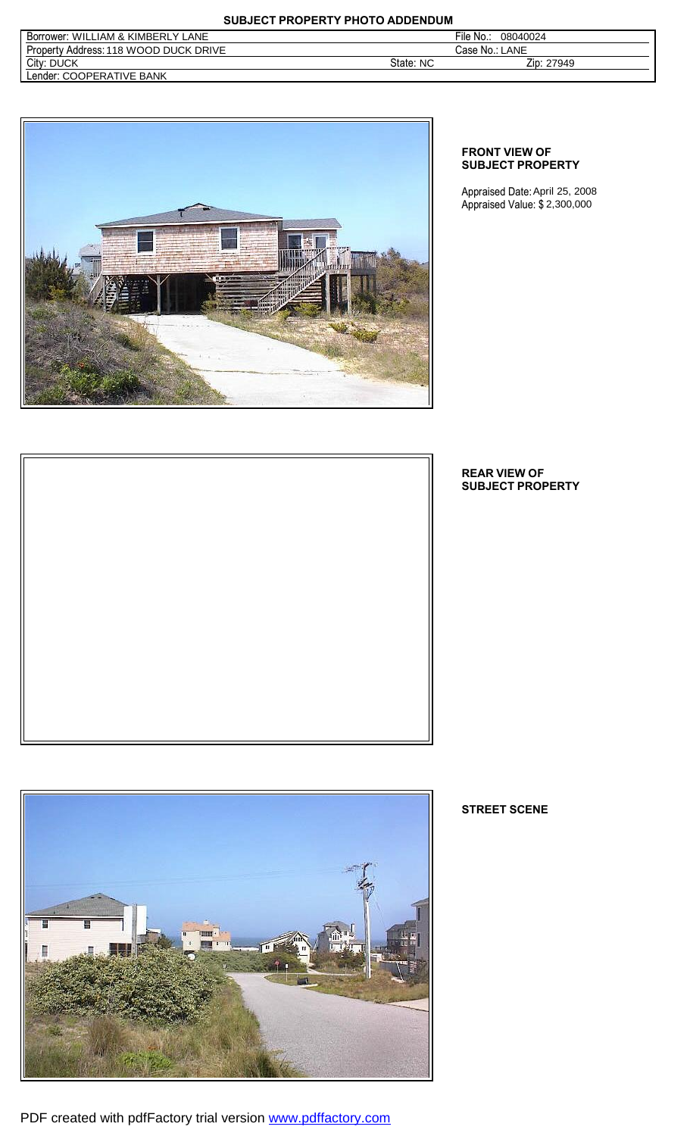## **SUBJECT PROPERTY PHOTO ADDENDUM**

| `LIAM & KIMBERL`<br>LANE<br>WIL<br>$\vee$<br>Borrower      | File<br>08040024<br>≅No… |                      |  |
|------------------------------------------------------------|--------------------------|----------------------|--|
| : WOOD<br><b>DUCK DRIVE</b><br>18<br>Property.<br>Address: | Case                     | LANE<br><u>ື</u> No… |  |
| City:<br><b>DUCK</b>                                       | State: NC                | Zip: 27949           |  |

Lender: COOPERATIVE BANK



### **FRONT VIEW OF SUBJECT PROPERTY**

Appraised Date: April 25, 2008 Appraised Value: \$ 2,300,000

### **REAR VIEW OF SUBJECT PROPERTY**

**STREET SCENE**



PDF created with pdfFactory trial version [www.pdffactory.com](http://www.pdffactory.com)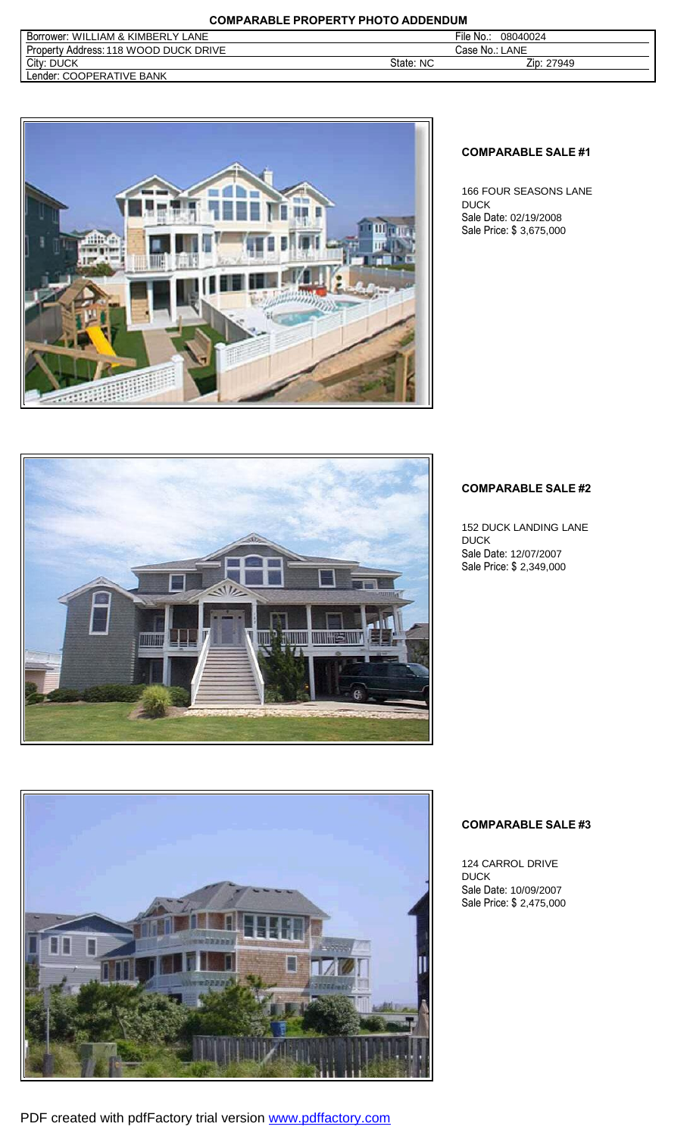## **COMPARABLE PROPERTY PHOTO ADDENDUM**

| Borrower: WILLIAM & KIMBERLY LANE     | File No   | 08040024       |
|---------------------------------------|-----------|----------------|
| Property Address: 118 WOOD DUCK DRIVE |           | Case No.: LANE |
| City: DUCK                            | State: NC | Zip: 27949     |

Lender: COOPERATIVE BANK



## **COMPARABLE SALE #1**

Sale Date: 02/19/2008 Sale Price: \$ 3,675,000 DUCK 166 FOUR SEASONS LANE



## **COMPARABLE SALE #2**

Sale Date: 12/07/2007 Sale Price: \$ 2,349,000 DUCK 152 DUCK LANDING LANE



PDF created with pdfFactory trial version [www.pdffactory.com](http://www.pdffactory.com)

## **COMPARABLE SALE #3**

Sale Date: 10/09/2007 Sale Price: \$ 2,475,000 DUCK 124 CARROL DRIVE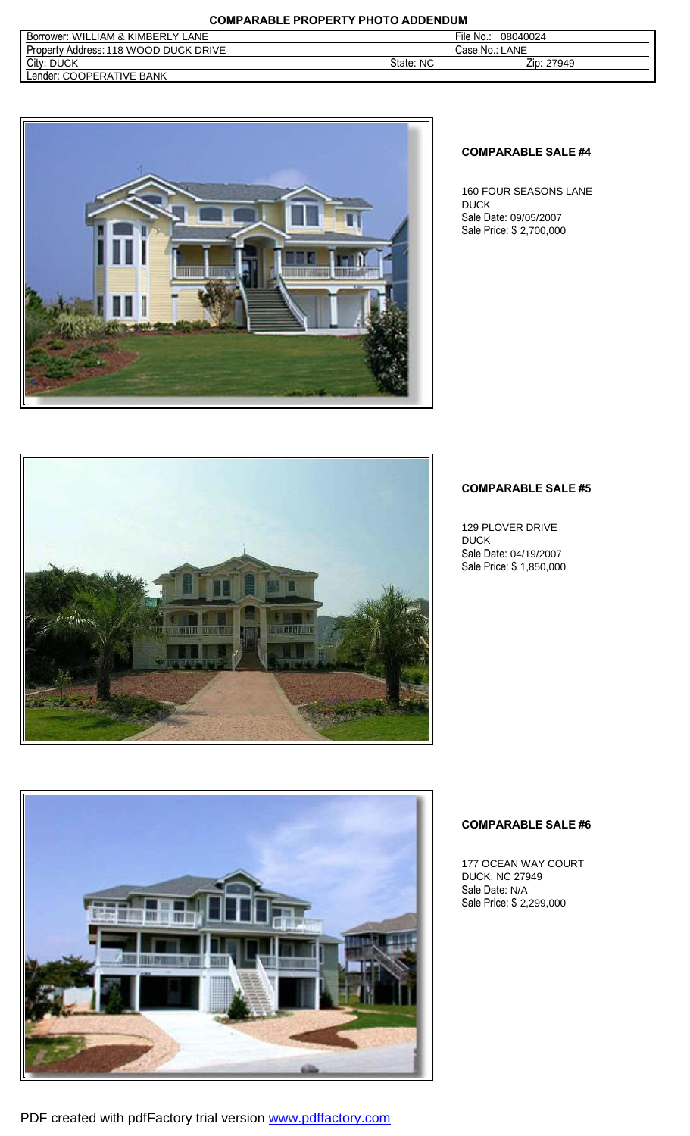## **COMPARABLE PROPERTY PHOTO ADDENDUM**

| Borrower: WILLIAM & KIMBERLY LANE     | File No   | 08040024       |
|---------------------------------------|-----------|----------------|
| Property Address: 118 WOOD DUCK DRIVE |           | Case No.: LANE |
| City: DUCK                            | State: NC | Zip: 27949     |

Lender: COOPERATIVE BANK



### **COMPARABLE SALE #4**

 $\overline{\phantom{a}}$ 

Sale Date: 09/05/2007 Sale Price: \$ 2,700,000 DUCK 160 FOUR SEASONS LANE



### **COMPARABLE SALE #5**

Sale Date: Sale Price: \$ 1,850,000 04/19/2007 DUCK 129 PLOVER DRIVE



# PDF created with pdfFactory trial version [www.pdffactory.com](http://www.pdffactory.com)

## **COMPARABLE SALE #6**

Sale Date: N/A Sale Price: \$ 2,299,000 DUCK, NC 27949 177 OCEAN WAY COURT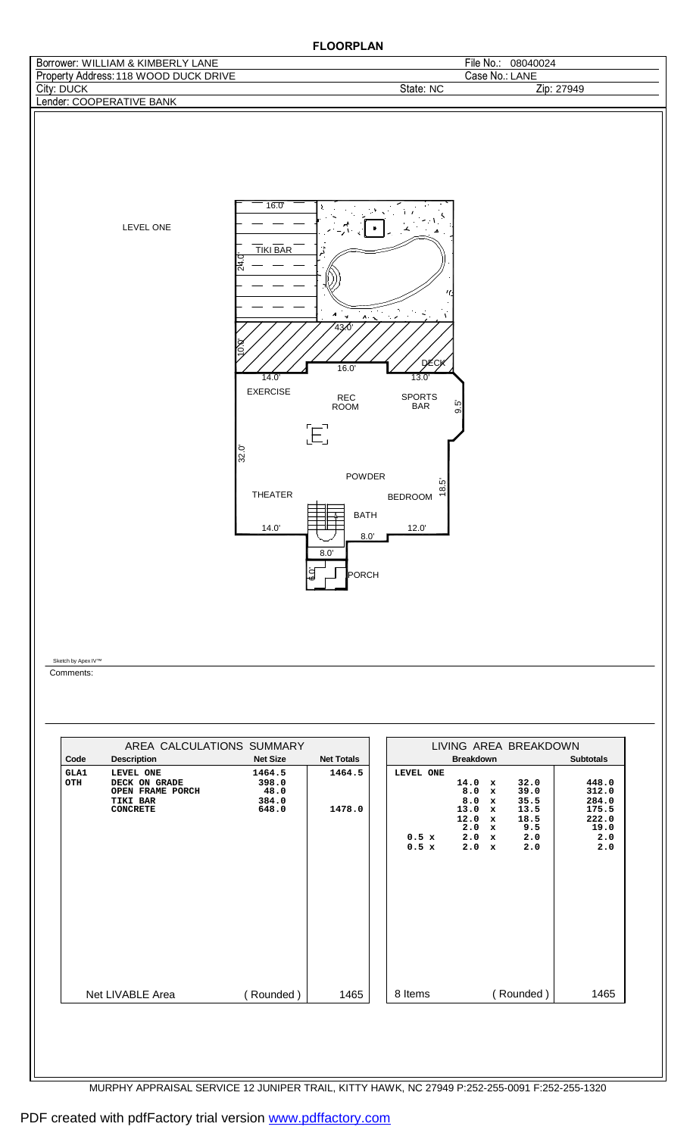### **FLOORPLAN**

| Borrower: WILLIAM & KIMBERLY LANE                                                                                                                     |                                                                                                        |                                                                                                                                                                                                                                                                                                        | File No.: 08040024                                                                                                                                                                                                                                               |                                                                                     |
|-------------------------------------------------------------------------------------------------------------------------------------------------------|--------------------------------------------------------------------------------------------------------|--------------------------------------------------------------------------------------------------------------------------------------------------------------------------------------------------------------------------------------------------------------------------------------------------------|------------------------------------------------------------------------------------------------------------------------------------------------------------------------------------------------------------------------------------------------------------------|-------------------------------------------------------------------------------------|
| Property Address: 118 WOOD DUCK DRIVE<br>City: DUCK                                                                                                   |                                                                                                        | State: NC                                                                                                                                                                                                                                                                                              | Case No.: LANE<br>Zip: 27949                                                                                                                                                                                                                                     |                                                                                     |
| Lender: COOPERATIVE BANK                                                                                                                              |                                                                                                        |                                                                                                                                                                                                                                                                                                        |                                                                                                                                                                                                                                                                  |                                                                                     |
| LEVEL ONE<br>Sketch by Apex IV™<br>Comments:                                                                                                          | 16.0<br><b>TIKI BAR</b><br>14.0'<br><b>EXERCISE</b><br>E<br>$32.0^{\circ}$<br>THEATER<br>14.0'<br>8.0' | $\mathcal{N}(\mathbf{v})$ .<br>$\mathbf{b}$<br>L<br>$\mathcal{A}=\mathcal{A}$<br>$\mathbf{A} \cdot \mathbf{A}$<br>104<br>43.0<br><b>РЕСК</b><br>16.0'<br>13.0'<br><b>SPORTS</b><br>$\sf REC$<br><b>BAR</b><br><b>ROOM</b><br>POWDER<br>18.5<br><b>BEDROOM</b><br><b>BATH</b><br>12.0'<br>8.0'<br>PORCH | $9.5^\circ$                                                                                                                                                                                                                                                      |                                                                                     |
| AREA CALCULATIONS SUMMARY                                                                                                                             |                                                                                                        |                                                                                                                                                                                                                                                                                                        | LIVING AREA BREAKDOWN                                                                                                                                                                                                                                            |                                                                                     |
| Code<br><b>Description</b><br>GLA1<br>LEVEL ONE<br>$_{\mbox{\small{OTH}}}$<br>DECK ON GRADE<br>OPEN FRAME PORCH<br><b>TIKI BAR</b><br><b>CONCRETE</b> | <b>Net Size</b><br>1464.5<br>398.0<br>48.0<br>384.0<br>648.0                                           | <b>Net Totals</b><br>1464.5<br>LEVEL ONE<br>1478.0<br>0.5 x<br>0.5 x                                                                                                                                                                                                                                   | <b>Breakdown</b><br>14.0<br>32.0<br>$\mathbf x$<br>8.0<br>39.0<br>$\mathbf x$<br>8.0<br>35.5<br>$\mathbf x$<br>13.0<br>13.5<br>$\mathbf x$<br>12.0<br>18.5<br>$\mathbf x$<br>2.0<br>9.5<br>$\mathbf x$<br>2.0<br>2.0<br>$\mathbf x$<br>2.0<br>2.0<br>$\mathbf x$ | <b>Subtotals</b><br>448.0<br>312.0<br>284.0<br>175.5<br>222.0<br>19.0<br>2.0<br>2.0 |
| Net LIVABLE Area                                                                                                                                      | (Rounded)                                                                                              | 8 Items<br>1465                                                                                                                                                                                                                                                                                        | (Rounded)                                                                                                                                                                                                                                                        | 1465                                                                                |
|                                                                                                                                                       |                                                                                                        |                                                                                                                                                                                                                                                                                                        |                                                                                                                                                                                                                                                                  |                                                                                     |

MURPHY APPRAISAL SERVICE 12 JUNIPER TRAIL, KITTY HAWK, NC 27949 P:252-255-0091 F:252-255-1320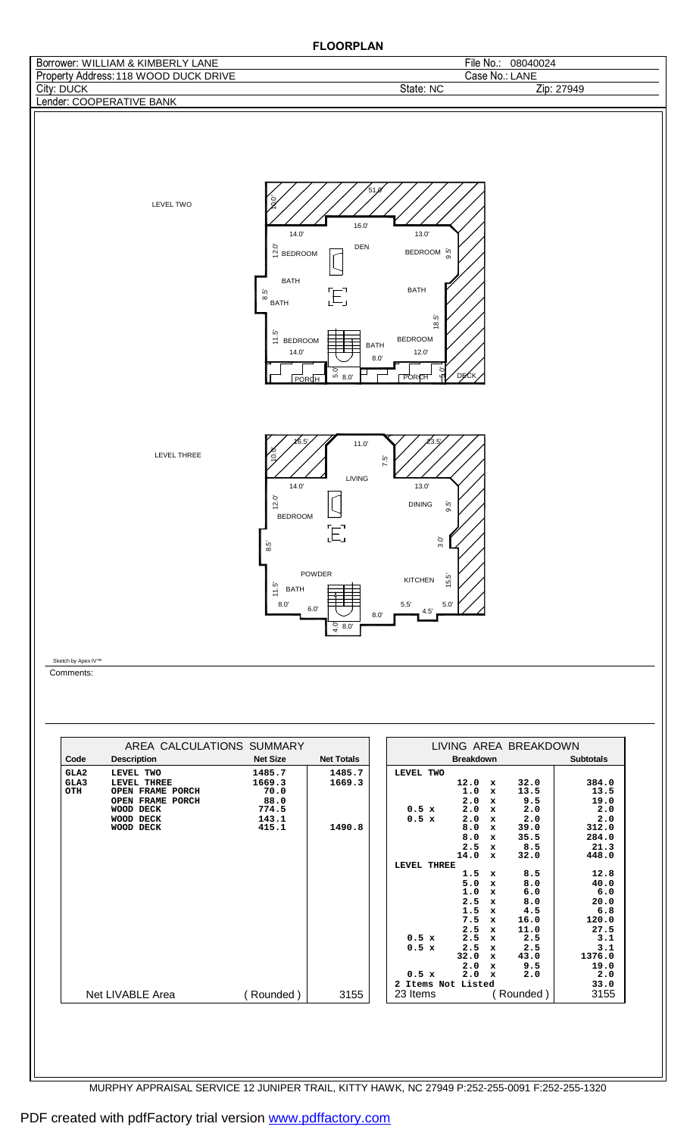### **FLOORPLAN**



MURPHY APPRAISAL SERVICE 12 JUNIPER TRAIL, KITTY HAWK, NC 27949 P:252-255-0091 F:252-255-1320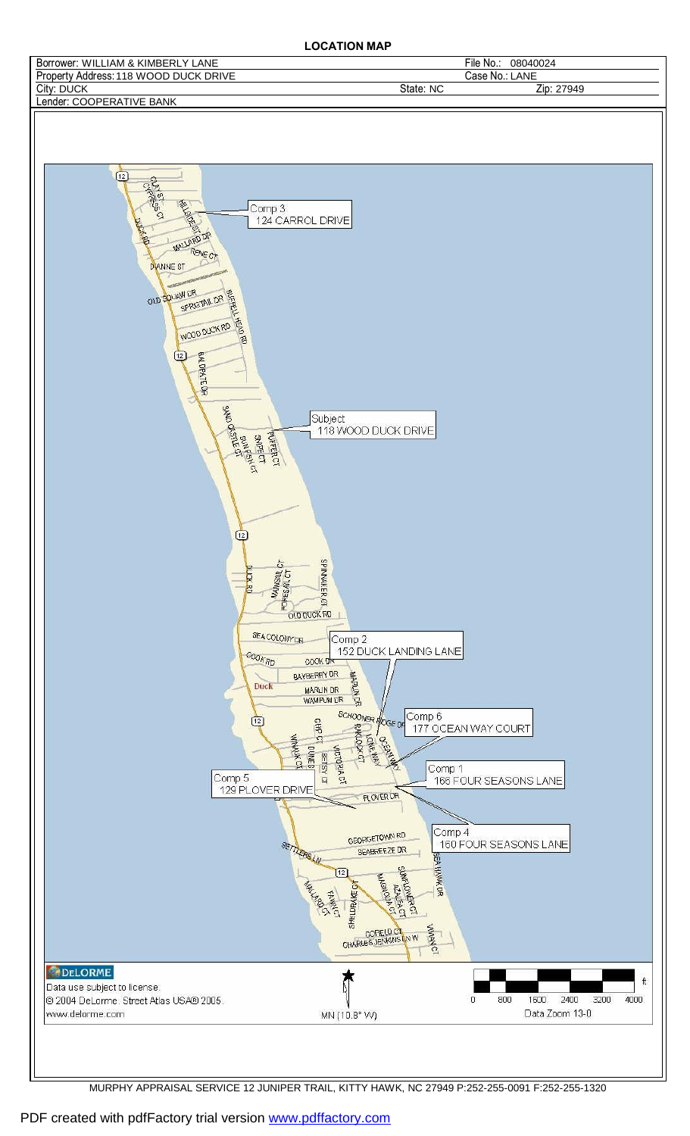### **LOCATION MAP**



MURPHY APPRAISAL SERVICE 12 JUNIPER TRAIL, KITTY HAWK, NC 27949 P:252-255-0091 F:252-255-1320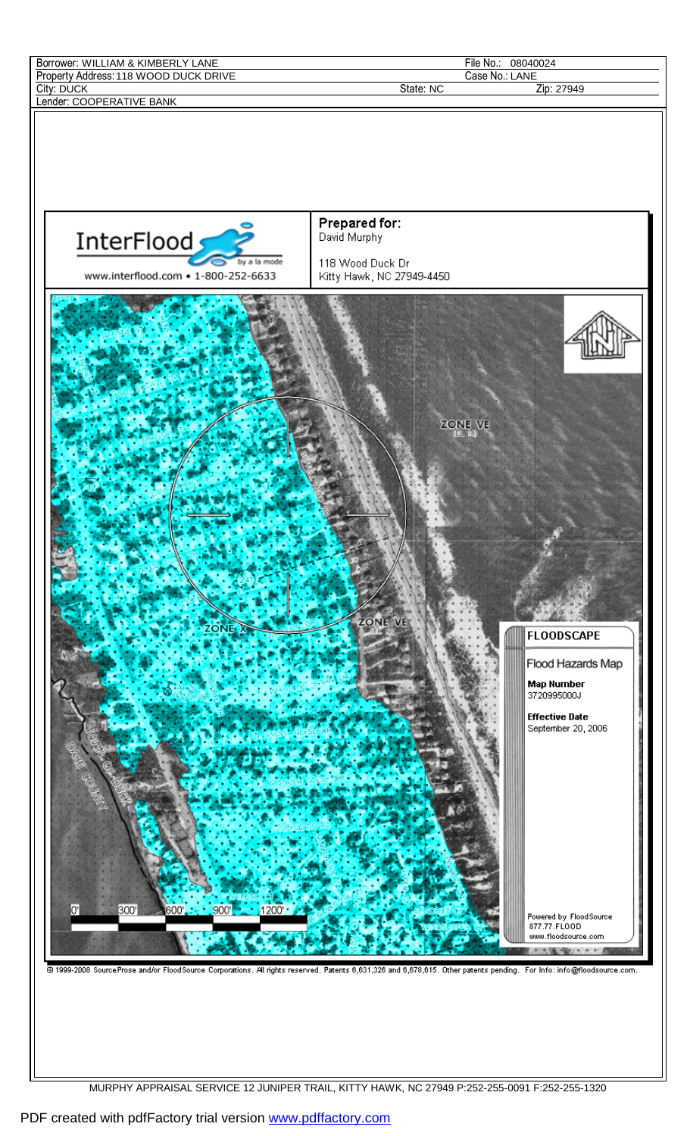

MURPHY APPRAISAL SERVICE 12 JUNIPER TRAIL, KITTY HAWK, NC 27949 P:252-255-0091 F:252-255-1320